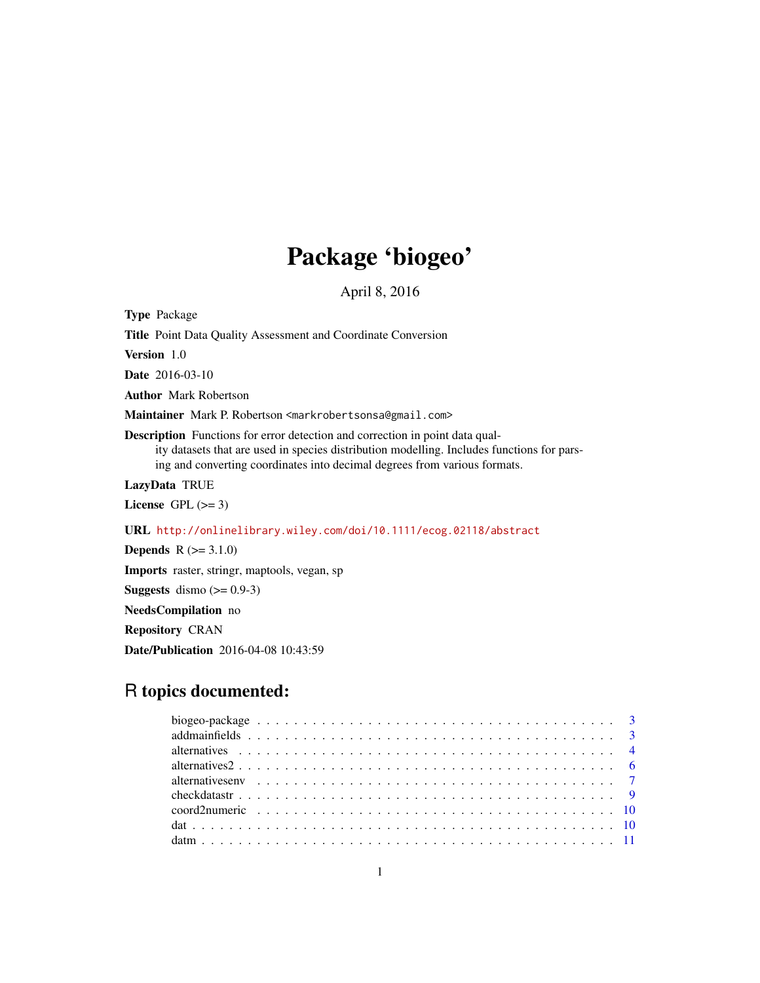# Package 'biogeo'

April 8, 2016

Type Package Title Point Data Quality Assessment and Coordinate Conversion Version 1.0 Date 2016-03-10 Author Mark Robertson Maintainer Mark P. Robertson <markrobertsonsa@gmail.com> Description Functions for error detection and correction in point data quality datasets that are used in species distribution modelling. Includes functions for parsing and converting coordinates into decimal degrees from various formats. LazyData TRUE License GPL  $(>= 3)$ URL <http://onlinelibrary.wiley.com/doi/10.1111/ecog.02118/abstract> **Depends**  $R (= 3.1.0)$ 

Imports raster, stringr, maptools, vegan, sp

**Suggests** dismo  $(>= 0.9-3)$ 

NeedsCompilation no

Repository CRAN

Date/Publication 2016-04-08 10:43:59

# R topics documented: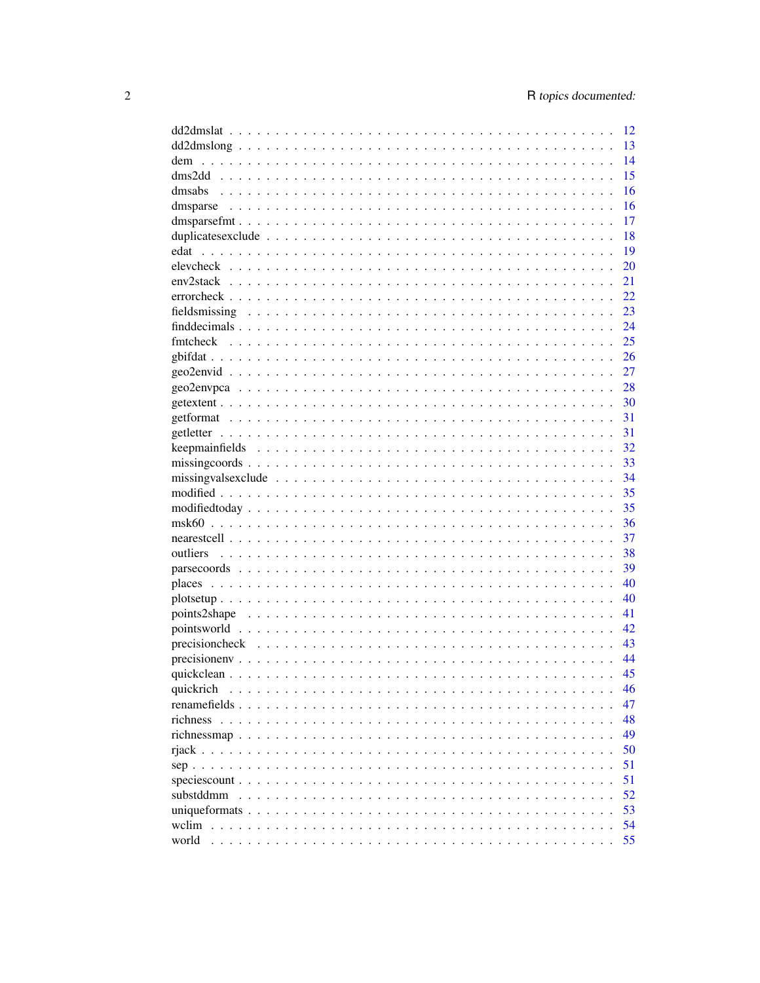|                                                                                                                         | 12 |
|-------------------------------------------------------------------------------------------------------------------------|----|
|                                                                                                                         | 13 |
| dem                                                                                                                     | 14 |
|                                                                                                                         | 15 |
|                                                                                                                         | 16 |
|                                                                                                                         | 16 |
|                                                                                                                         | 17 |
|                                                                                                                         | 18 |
| edat                                                                                                                    | 19 |
|                                                                                                                         | 20 |
| $env2stack \dots \dots \dots \dots \dots \dots \dots \dots \dots \dots \dots \dots \dots \dots \dots \dots \dots \dots$ | 21 |
|                                                                                                                         | 22 |
|                                                                                                                         | 23 |
|                                                                                                                         | 24 |
|                                                                                                                         | 25 |
|                                                                                                                         | 26 |
|                                                                                                                         | 27 |
|                                                                                                                         | 28 |
|                                                                                                                         | 30 |
|                                                                                                                         | 31 |
|                                                                                                                         |    |
|                                                                                                                         | 31 |
|                                                                                                                         | 32 |
|                                                                                                                         | 33 |
|                                                                                                                         | 34 |
|                                                                                                                         | 35 |
|                                                                                                                         | 35 |
|                                                                                                                         | 36 |
|                                                                                                                         | 37 |
|                                                                                                                         | 38 |
|                                                                                                                         | 39 |
|                                                                                                                         | 40 |
|                                                                                                                         | 40 |
|                                                                                                                         | 41 |
|                                                                                                                         | 42 |
|                                                                                                                         | 43 |
|                                                                                                                         | 44 |
|                                                                                                                         | 45 |
| quickrich                                                                                                               | 46 |
|                                                                                                                         | 47 |
|                                                                                                                         | 48 |
|                                                                                                                         | 49 |
|                                                                                                                         | 50 |
|                                                                                                                         | 51 |
|                                                                                                                         | 51 |
| substddmm                                                                                                               | 52 |
|                                                                                                                         | 53 |
| wclim                                                                                                                   | 54 |
| world                                                                                                                   | 55 |
|                                                                                                                         |    |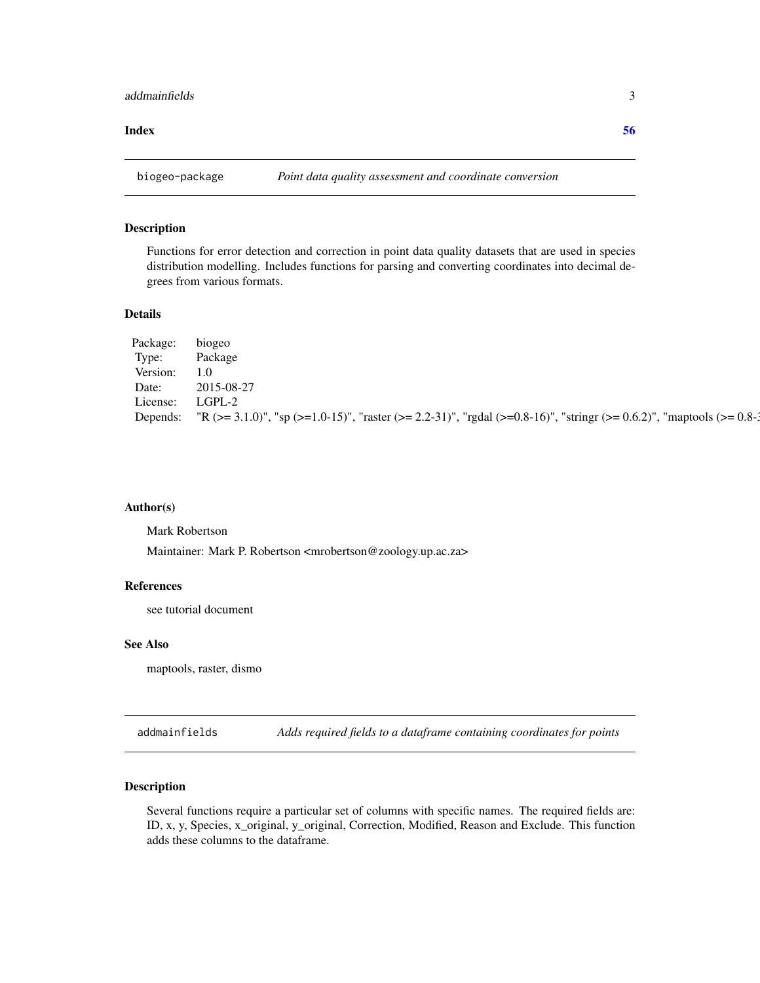#### <span id="page-2-0"></span>**Index** [56](#page-55-0)

biogeo-package *Point data quality assessment and coordinate conversion*

#### Description

Functions for error detection and correction in point data quality datasets that are used in species distribution modelling. Includes functions for parsing and converting coordinates into decimal degrees from various formats.

#### Details

| Package: | b <sub>10</sub> geo                                                                                                           |
|----------|-------------------------------------------------------------------------------------------------------------------------------|
| Type:    | Package                                                                                                                       |
| Version: | $1.0^{\circ}$                                                                                                                 |
| Date:    | 2015-08-27                                                                                                                    |
| License: | $L$ GPL-2                                                                                                                     |
|          | Depends: "R (>= 3.1.0)", "sp (>=1.0-15)", "raster (>= 2.2-31)", "rgdal (>=0.8-16)", "stringr (>= 0.6.2)", "maptools (>= 0.8-1 |

#### Author(s)

Mark Robertson

Maintainer: Mark P. Robertson <mrobertson@zoology.up.ac.za>

#### References

see tutorial document

#### See Also

maptools, raster, dismo

addmainfields *Adds required fields to a dataframe containing coordinates for points*

# Description

Several functions require a particular set of columns with specific names. The required fields are: ID, x, y, Species, x\_original, y\_original, Correction, Modified, Reason and Exclude. This function adds these columns to the dataframe.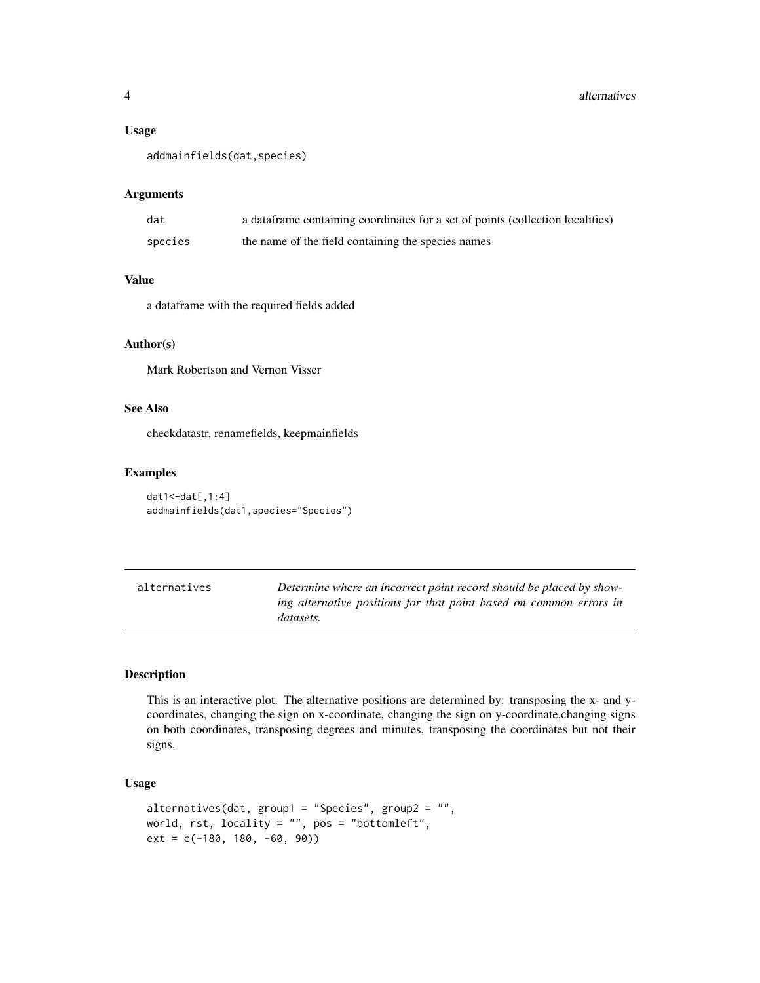#### <span id="page-3-0"></span>Usage

```
addmainfields(dat,species)
```
#### Arguments

| dat     | a data frame containing coordinates for a set of points (collection localities) |
|---------|---------------------------------------------------------------------------------|
| species | the name of the field containing the species names                              |

# Value

a dataframe with the required fields added

#### Author(s)

Mark Robertson and Vernon Visser

# See Also

checkdatastr, renamefields, keepmainfields

#### Examples

dat1<-dat[,1:4] addmainfields(dat1,species="Species")

alternatives *Determine where an incorrect point record should be placed by showing alternative positions for that point based on common errors in datasets.*

# Description

This is an interactive plot. The alternative positions are determined by: transposing the x- and ycoordinates, changing the sign on x-coordinate, changing the sign on y-coordinate,changing signs on both coordinates, transposing degrees and minutes, transposing the coordinates but not their signs.

#### Usage

```
alternatives(dat, group1 = "Species", group2 = "",
world, rst, locality = "", pos = "bottomleft",
ext = c(-180, 180, -60, 90)
```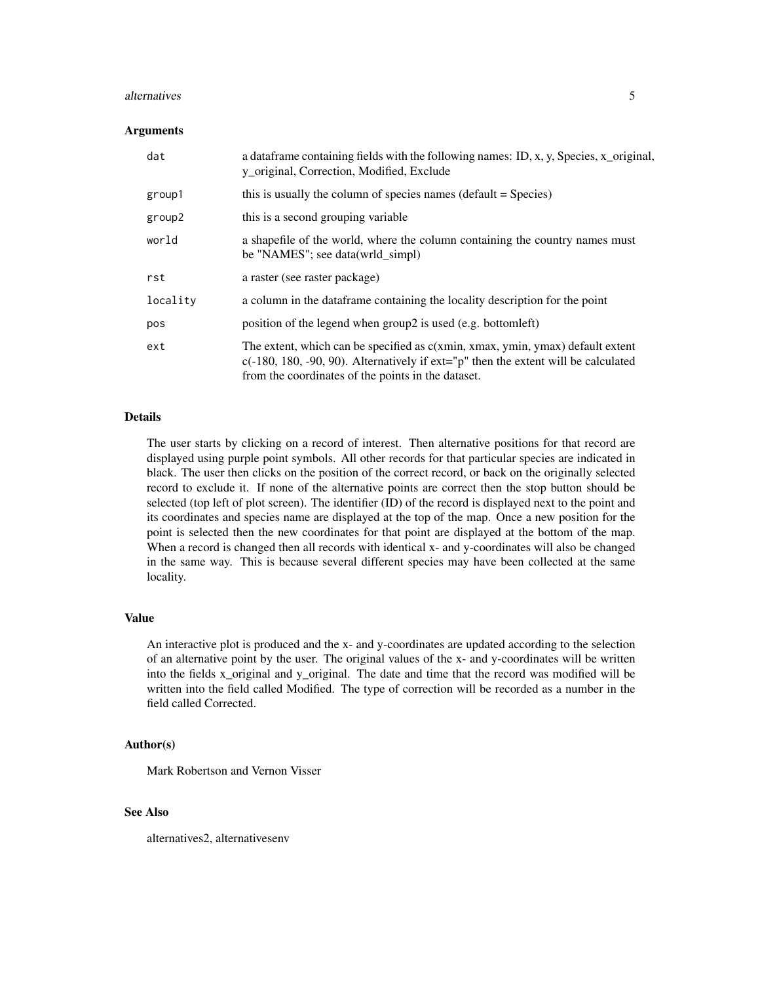#### alternatives 5

#### Arguments

| dat      | a data frame containing fields with the following names: ID, x, y, Species, x_original,<br>y_original, Correction, Modified, Exclude                                                                                            |
|----------|---------------------------------------------------------------------------------------------------------------------------------------------------------------------------------------------------------------------------------|
| group1   | this is usually the column of species names (default = Species)                                                                                                                                                                 |
| group2   | this is a second grouping variable                                                                                                                                                                                              |
| world    | a shapefile of the world, where the column containing the country names must<br>be "NAMES"; see data(wrld_simpl)                                                                                                                |
| rst      | a raster (see raster package)                                                                                                                                                                                                   |
| locality | a column in the data frame containing the locality description for the point                                                                                                                                                    |
| pos      | position of the legend when group2 is used (e.g. bottomleft)                                                                                                                                                                    |
| ext      | The extent, which can be specified as c(xmin, xmax, ymin, ymax) default extent<br>$c(-180, 180, -90, 90)$ . Alternatively if $ext="p"$ then the extent will be calculated<br>from the coordinates of the points in the dataset. |

# Details

The user starts by clicking on a record of interest. Then alternative positions for that record are displayed using purple point symbols. All other records for that particular species are indicated in black. The user then clicks on the position of the correct record, or back on the originally selected record to exclude it. If none of the alternative points are correct then the stop button should be selected (top left of plot screen). The identifier (ID) of the record is displayed next to the point and its coordinates and species name are displayed at the top of the map. Once a new position for the point is selected then the new coordinates for that point are displayed at the bottom of the map. When a record is changed then all records with identical x- and y-coordinates will also be changed in the same way. This is because several different species may have been collected at the same locality.

#### Value

An interactive plot is produced and the x- and y-coordinates are updated according to the selection of an alternative point by the user. The original values of the x- and y-coordinates will be written into the fields x\_original and y\_original. The date and time that the record was modified will be written into the field called Modified. The type of correction will be recorded as a number in the field called Corrected.

# Author(s)

Mark Robertson and Vernon Visser

#### See Also

alternatives2, alternativesenv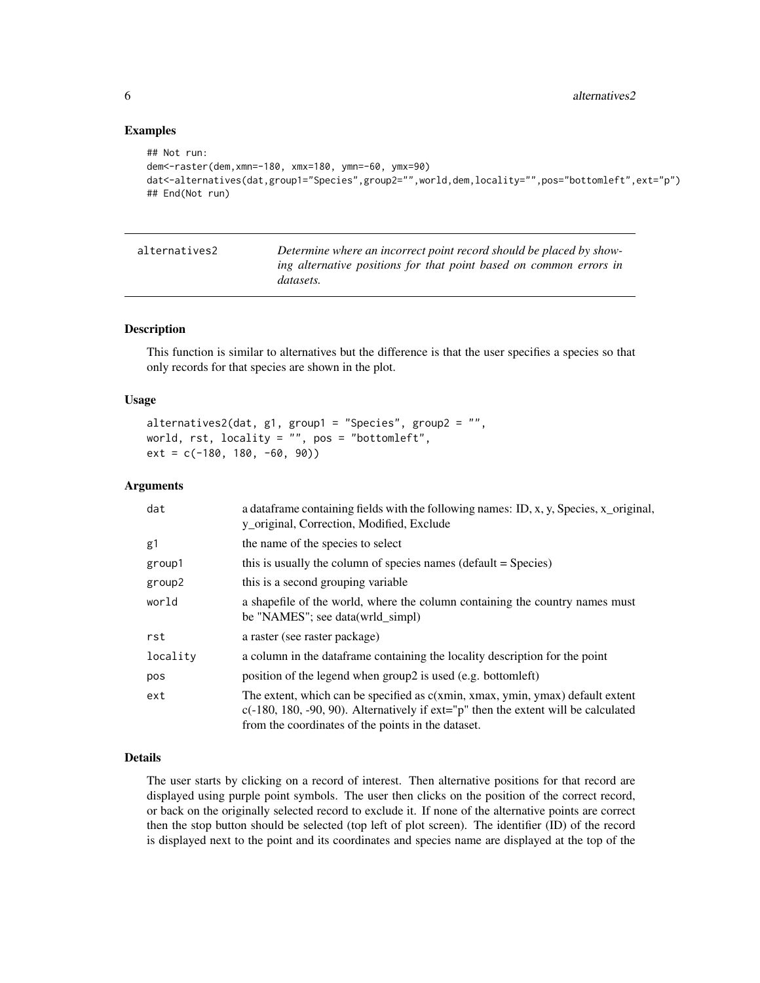#### Examples

```
## Not run:
dem<-raster(dem,xmn=-180, xmx=180, ymn=-60, ymx=90)
dat<-alternatives(dat,group1="Species",group2="",world,dem,locality="",pos="bottomleft",ext="p")
## End(Not run)
```

| alternatives2 | Determine where an incorrect point record should be placed by show- |
|---------------|---------------------------------------------------------------------|
|               | ing alternative positions for that point based on common errors in  |
|               | <i>datasets.</i>                                                    |

#### Description

This function is similar to alternatives but the difference is that the user specifies a species so that only records for that species are shown in the plot.

#### Usage

```
alternatives2(dat, g1, group1 = "Species", group2 = "",
world, rst, locality = ", pos = "bottomleft",
ext = c(-180, 180, -60, 90))
```
#### Arguments

| dat      | a data frame containing fields with the following names: ID, x, y, Species, x_original,<br>y_original, Correction, Modified, Exclude                                                                                            |
|----------|---------------------------------------------------------------------------------------------------------------------------------------------------------------------------------------------------------------------------------|
| g1       | the name of the species to select                                                                                                                                                                                               |
| group1   | this is usually the column of species names (default = Species)                                                                                                                                                                 |
| group2   | this is a second grouping variable                                                                                                                                                                                              |
| world    | a shapefile of the world, where the column containing the country names must<br>be "NAMES"; see data(wrld_simpl)                                                                                                                |
| rst      | a raster (see raster package)                                                                                                                                                                                                   |
| locality | a column in the dataframe containing the locality description for the point                                                                                                                                                     |
| pos      | position of the legend when group2 is used (e.g. bottomleft)                                                                                                                                                                    |
| ext      | The extent, which can be specified as c(xmin, xmax, ymin, ymax) default extent<br>$c(-180, 180, -90, 90)$ . Alternatively if $ext="p"$ then the extent will be calculated<br>from the coordinates of the points in the dataset. |

#### Details

The user starts by clicking on a record of interest. Then alternative positions for that record are displayed using purple point symbols. The user then clicks on the position of the correct record, or back on the originally selected record to exclude it. If none of the alternative points are correct then the stop button should be selected (top left of plot screen). The identifier (ID) of the record is displayed next to the point and its coordinates and species name are displayed at the top of the

<span id="page-5-0"></span>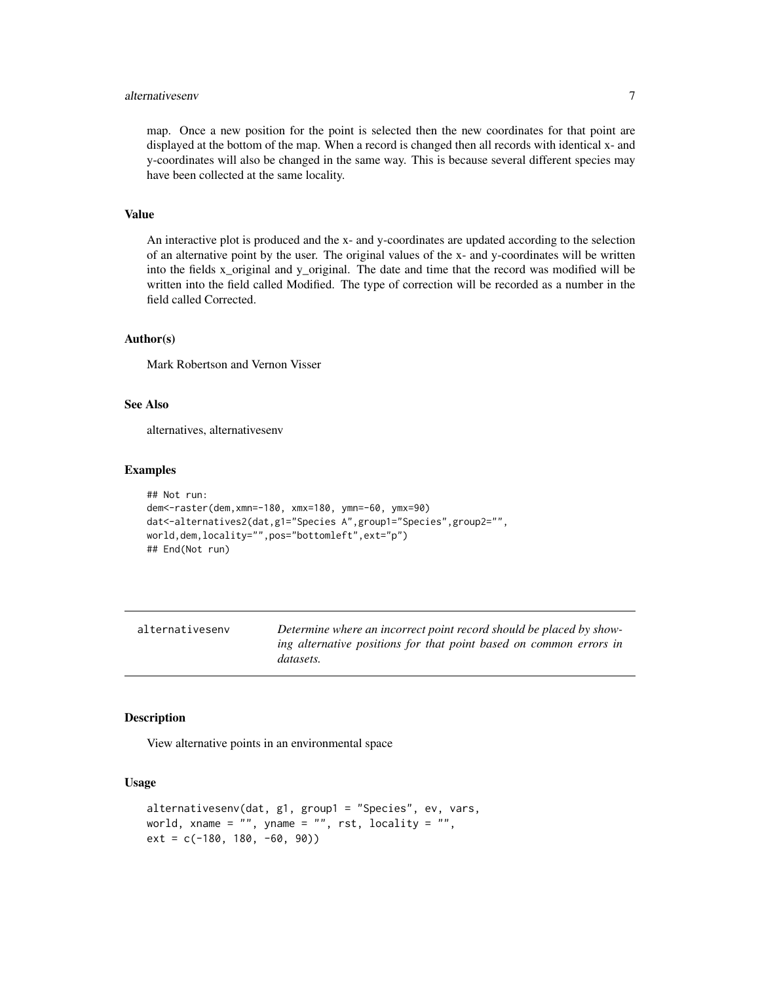# <span id="page-6-0"></span>alternativesenv 7

map. Once a new position for the point is selected then the new coordinates for that point are displayed at the bottom of the map. When a record is changed then all records with identical x- and y-coordinates will also be changed in the same way. This is because several different species may have been collected at the same locality.

# Value

An interactive plot is produced and the x- and y-coordinates are updated according to the selection of an alternative point by the user. The original values of the x- and y-coordinates will be written into the fields x\_original and y\_original. The date and time that the record was modified will be written into the field called Modified. The type of correction will be recorded as a number in the field called Corrected.

#### Author(s)

Mark Robertson and Vernon Visser

# See Also

alternatives, alternativesenv

#### Examples

```
## Not run:
dem<-raster(dem,xmn=-180, xmx=180, ymn=-60, ymx=90)
dat<-alternatives2(dat,g1="Species A",group1="Species",group2="",
world,dem,locality="",pos="bottomleft",ext="p")
## End(Not run)
```

| alternativesenv | Determine where an incorrect point record should be placed by show-                    |
|-----------------|----------------------------------------------------------------------------------------|
|                 | ing alternative positions for that point based on common errors in<br><i>datasets.</i> |
|                 |                                                                                        |

#### Description

View alternative points in an environmental space

#### Usage

```
alternativesenv(dat, g1, group1 = "Species", ev, vars,
world, xname = ", yname = ", rst, locality = ",
ext = c(-180, 180, -60, 90)
```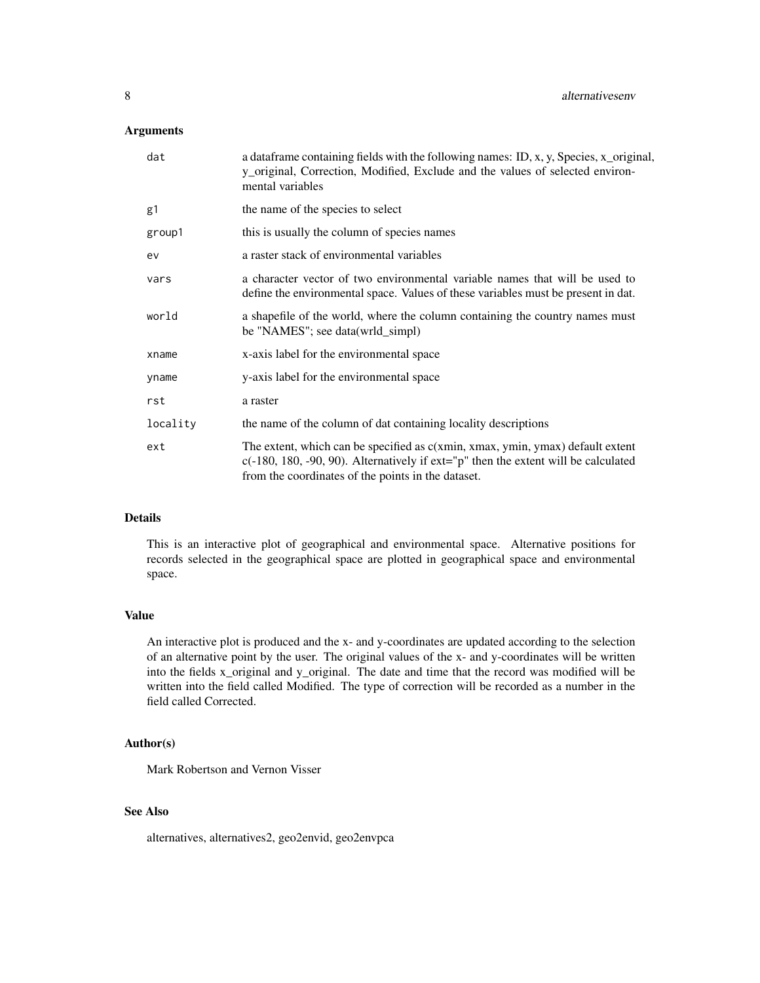# Arguments

| dat      | a data frame containing fields with the following names: ID, x, y, Species, x_original,<br>y_original, Correction, Modified, Exclude and the values of selected environ-<br>mental variables                                    |
|----------|---------------------------------------------------------------------------------------------------------------------------------------------------------------------------------------------------------------------------------|
| g1       | the name of the species to select                                                                                                                                                                                               |
| group1   | this is usually the column of species names                                                                                                                                                                                     |
| ev       | a raster stack of environmental variables                                                                                                                                                                                       |
| vars     | a character vector of two environmental variable names that will be used to<br>define the environmental space. Values of these variables must be present in dat.                                                                |
| world    | a shapefile of the world, where the column containing the country names must<br>be "NAMES"; see data(wrld_simpl)                                                                                                                |
| xname    | x-axis label for the environmental space                                                                                                                                                                                        |
| yname    | y-axis label for the environmental space                                                                                                                                                                                        |
| rst      | a raster                                                                                                                                                                                                                        |
| locality | the name of the column of dat containing locality descriptions                                                                                                                                                                  |
| ext      | The extent, which can be specified as c(xmin, xmax, ymin, ymax) default extent<br>$c(-180, 180, -90, 90)$ . Alternatively if $ext="p"$ then the extent will be calculated<br>from the coordinates of the points in the dataset. |

# Details

This is an interactive plot of geographical and environmental space. Alternative positions for records selected in the geographical space are plotted in geographical space and environmental space.

#### Value

An interactive plot is produced and the x- and y-coordinates are updated according to the selection of an alternative point by the user. The original values of the x- and y-coordinates will be written into the fields x\_original and y\_original. The date and time that the record was modified will be written into the field called Modified. The type of correction will be recorded as a number in the field called Corrected.

# Author(s)

Mark Robertson and Vernon Visser

# See Also

alternatives, alternatives2, geo2envid, geo2envpca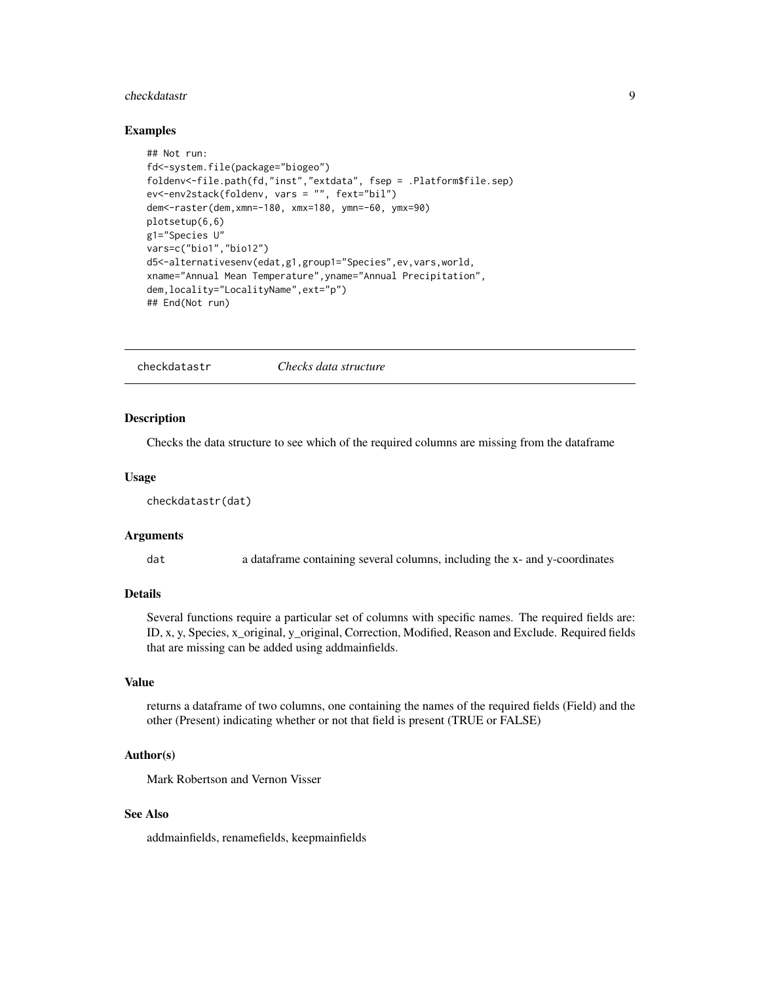#### <span id="page-8-0"></span>checkdatastr **9**

#### Examples

```
## Not run:
fd<-system.file(package="biogeo")
foldenv<-file.path(fd,"inst","extdata", fsep = .Platform$file.sep)
ev<-env2stack(foldenv, vars = "", fext="bil")
dem<-raster(dem,xmn=-180, xmx=180, ymn=-60, ymx=90)
plotsetup(6,6)
g1="Species U"
vars=c("bio1","bio12")
d5<-alternativesenv(edat,g1,group1="Species",ev,vars,world,
xname="Annual Mean Temperature",yname="Annual Precipitation",
dem,locality="LocalityName",ext="p")
## End(Not run)
```
checkdatastr *Checks data structure*

#### **Description**

Checks the data structure to see which of the required columns are missing from the dataframe

#### Usage

```
checkdatastr(dat)
```
#### Arguments

dat a dataframe containing several columns, including the x- and y-coordinates

#### Details

Several functions require a particular set of columns with specific names. The required fields are: ID, x, y, Species, x\_original, y\_original, Correction, Modified, Reason and Exclude. Required fields that are missing can be added using addmainfields.

#### Value

returns a dataframe of two columns, one containing the names of the required fields (Field) and the other (Present) indicating whether or not that field is present (TRUE or FALSE)

#### Author(s)

Mark Robertson and Vernon Visser

# See Also

addmainfields, renamefields, keepmainfields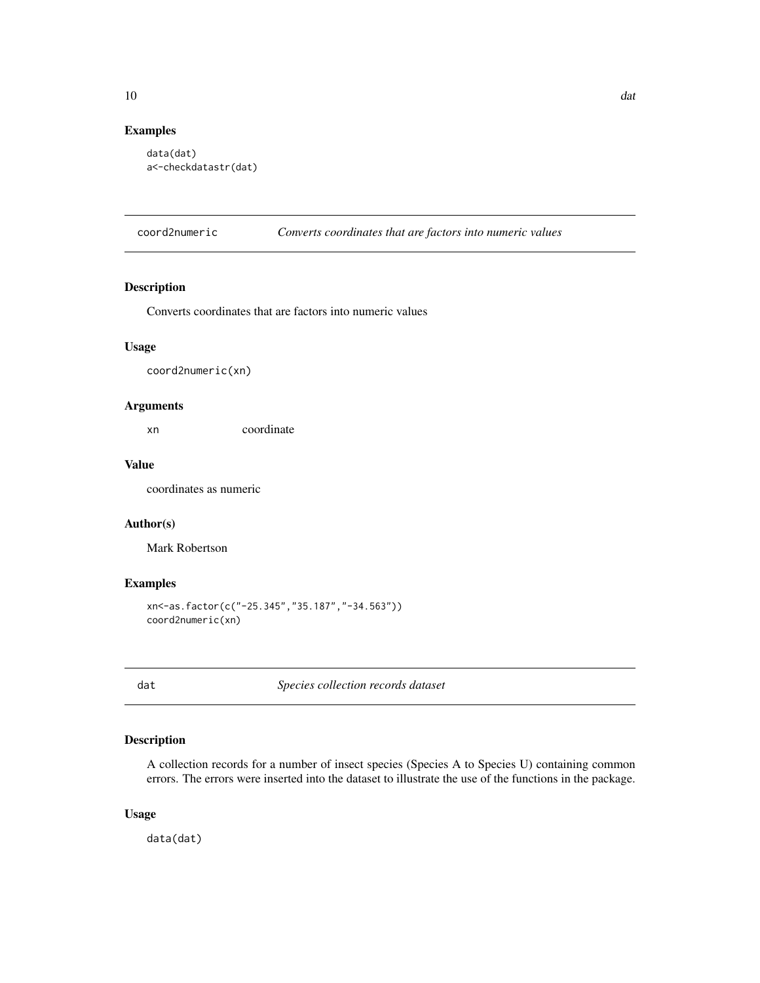# <span id="page-9-0"></span>Examples

```
data(dat)
a<-checkdatastr(dat)
```
coord2numeric *Converts coordinates that are factors into numeric values*

#### Description

Converts coordinates that are factors into numeric values

# Usage

coord2numeric(xn)

# Arguments

xn coordinate

# Value

coordinates as numeric

#### Author(s)

Mark Robertson

# Examples

```
xn<-as.factor(c("-25.345","35.187","-34.563"))
coord2numeric(xn)
```
dat *Species collection records dataset*

# Description

A collection records for a number of insect species (Species A to Species U) containing common errors. The errors were inserted into the dataset to illustrate the use of the functions in the package.

# Usage

data(dat)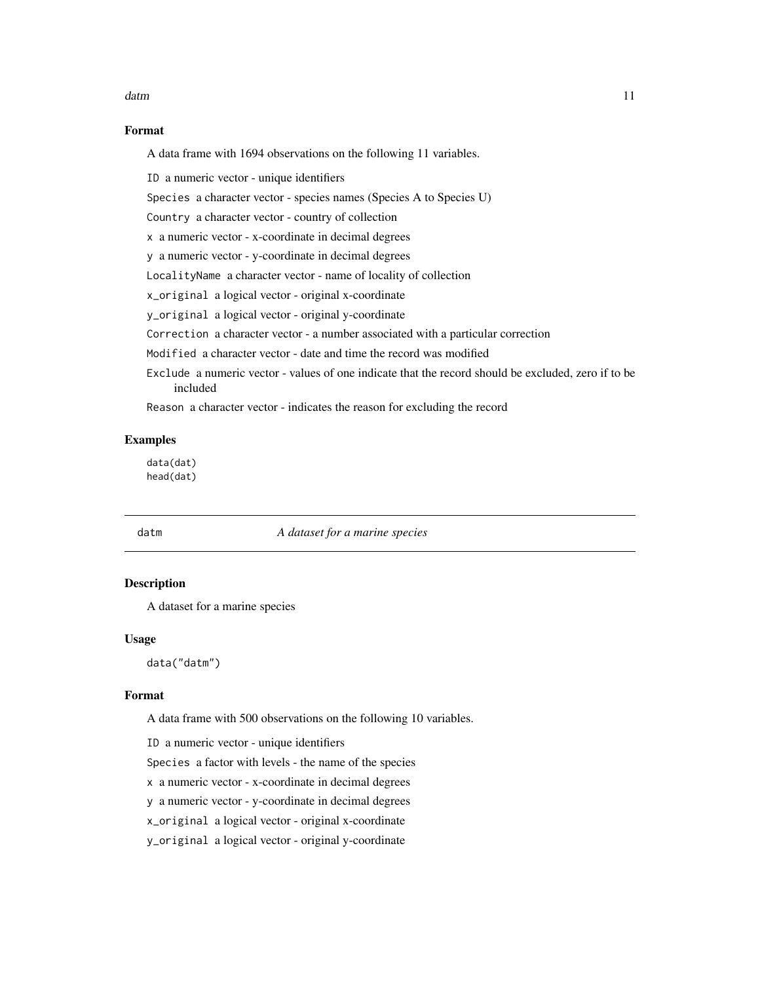#### <span id="page-10-0"></span>datm and the contract of the contract of the contract of the contract of the contract of the contract of the contract of the contract of the contract of the contract of the contract of the contract of the contract of the c

# Format

A data frame with 1694 observations on the following 11 variables.

ID a numeric vector - unique identifiers

Species a character vector - species names (Species A to Species U)

Country a character vector - country of collection

x a numeric vector - x-coordinate in decimal degrees

y a numeric vector - y-coordinate in decimal degrees

LocalityName a character vector - name of locality of collection

x\_original a logical vector - original x-coordinate

y\_original a logical vector - original y-coordinate

Correction a character vector - a number associated with a particular correction

Modified a character vector - date and time the record was modified

Exclude a numeric vector - values of one indicate that the record should be excluded, zero if to be included

Reason a character vector - indicates the reason for excluding the record

#### Examples

data(dat) head(dat)

# datm *A dataset for a marine species*

# Description

A dataset for a marine species

#### Usage

data("datm")

#### Format

A data frame with 500 observations on the following 10 variables.

ID a numeric vector - unique identifiers

Species a factor with levels - the name of the species

x a numeric vector - x-coordinate in decimal degrees

y a numeric vector - y-coordinate in decimal degrees

x\_original a logical vector - original x-coordinate

y\_original a logical vector - original y-coordinate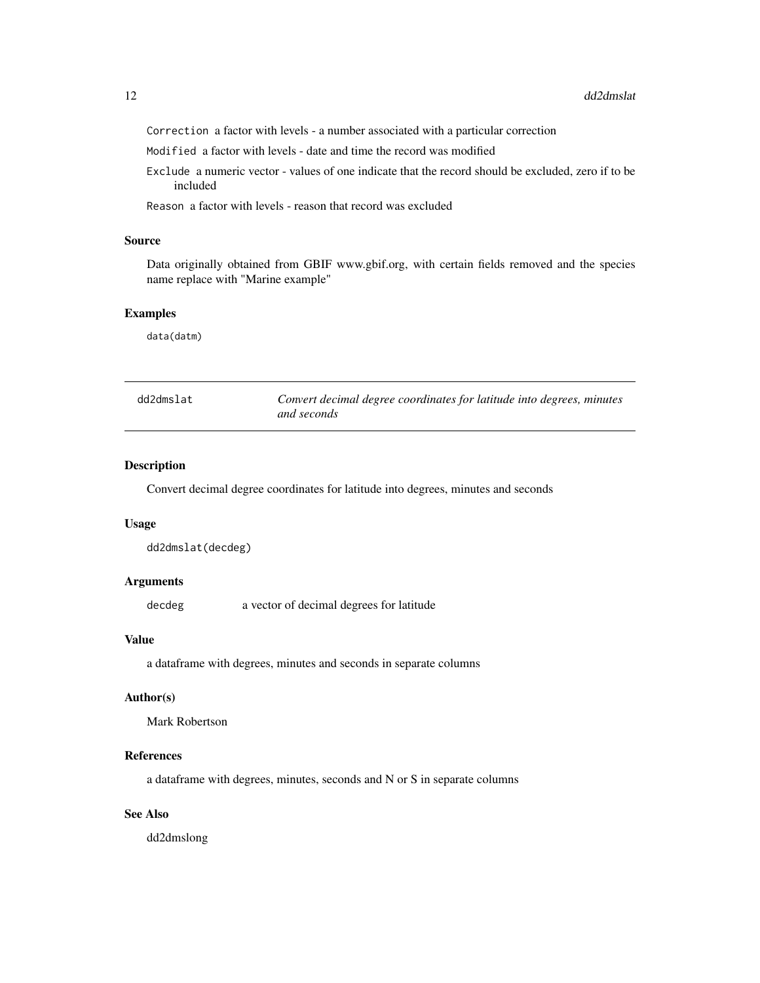<span id="page-11-0"></span>Correction a factor with levels - a number associated with a particular correction

Modified a factor with levels - date and time the record was modified

Exclude a numeric vector - values of one indicate that the record should be excluded, zero if to be included

Reason a factor with levels - reason that record was excluded

# Source

Data originally obtained from GBIF www.gbif.org, with certain fields removed and the species name replace with "Marine example"

# Examples

data(datm)

| dd2dmslat | Convert decimal degree coordinates for latitude into degrees, minutes |
|-----------|-----------------------------------------------------------------------|
|           | and seconds                                                           |

# Description

Convert decimal degree coordinates for latitude into degrees, minutes and seconds

#### Usage

dd2dmslat(decdeg)

# Arguments

decdeg a vector of decimal degrees for latitude

# Value

a dataframe with degrees, minutes and seconds in separate columns

#### Author(s)

Mark Robertson

#### References

a dataframe with degrees, minutes, seconds and N or S in separate columns

# See Also

dd2dmslong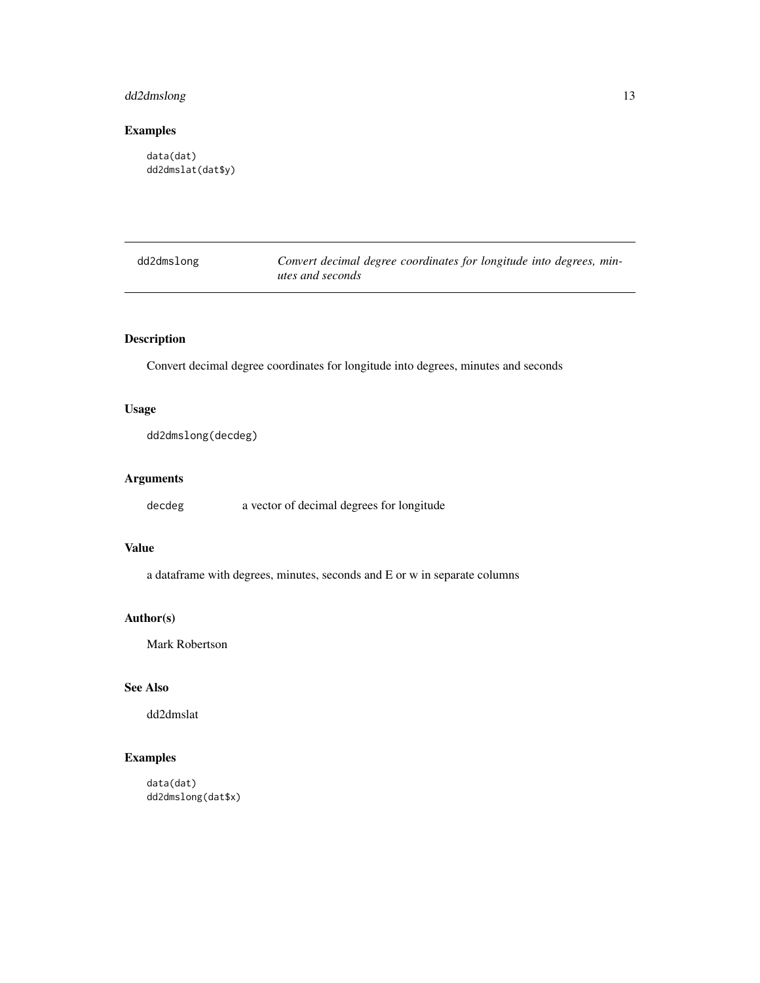# <span id="page-12-0"></span>dd2dmslong 13

# Examples

data(dat) dd2dmslat(dat\$y)

| dd2dmslong | Convert decimal degree coordinates for longitude into degrees, min- |  |
|------------|---------------------------------------------------------------------|--|
|            | utes and seconds                                                    |  |

# Description

Convert decimal degree coordinates for longitude into degrees, minutes and seconds

# Usage

dd2dmslong(decdeg)

# Arguments

decdeg a vector of decimal degrees for longitude

# Value

a dataframe with degrees, minutes, seconds and E or w in separate columns

# Author(s)

Mark Robertson

# See Also

dd2dmslat

# Examples

data(dat) dd2dmslong(dat\$x)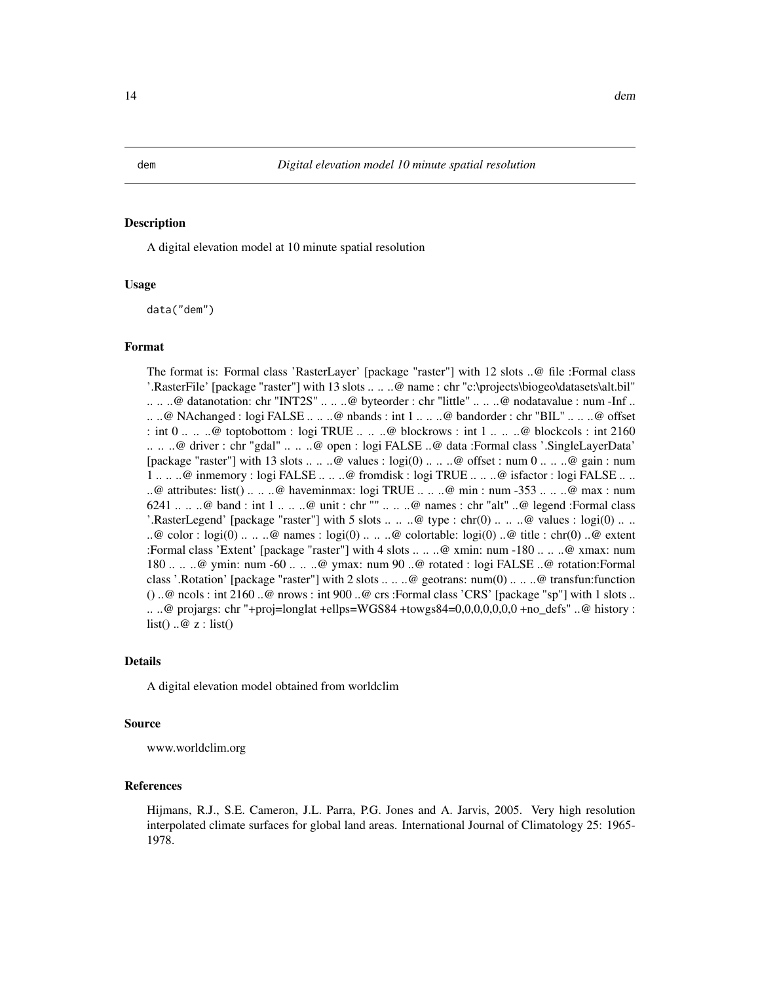<span id="page-13-0"></span>

A digital elevation model at 10 minute spatial resolution

#### Usage

data("dem")

#### Format

The format is: Formal class 'RasterLayer' [package "raster"] with 12 slots ..@ file :Formal class '.RasterFile' [package "raster"] with 13 slots .. .. ..@ name : chr "c:\projects\biogeo\datasets\alt.bil" .. .. ..@ datanotation: chr "INT2S" .. .. ..@ byteorder : chr "little" .. .. ..@ nodatavalue : num -Inf .. .. ..@ NAchanged : logi FALSE .. .. ..@ nbands : int 1 .. .. ..@ bandorder : chr "BIL" .. .. ..@ offset : int  $0 \ldots$  ...  $\omega$  toptobottom : logi TRUE ...  $\ldots \omega$  blockrows : int 1 ...  $\ldots \omega$  blockcols : int 2160 .. .. ..@ driver : chr "gdal" .. .. ..@ open : logi FALSE ..@ data :Formal class '.SingleLayerData' [package "raster"] with 13 slots .. .. ..@ values : logi(0) .. .. ..@ offset : num  $0 \ldots \ldots$ .@ gain : num 1 .. .. ..@ inmemory : logi FALSE .. .. ..@ fromdisk : logi TRUE .. .. ..@ isfactor : logi FALSE .. .. ..@ attributes: list() .. .. ..@ haveminmax: logi TRUE .. .. ..@ min : num -353 .. .. ..@ max : num 6241 .. .. ..@ band : int 1 .. .. ..@ unit : chr "" .. .. ..@ names : chr "alt" ..@ legend :Formal class '.RasterLegend' [package "raster"] with 5 slots  $\dots \dots \textcircled$  type : chr(0)  $\dots \dots \textcircled$  values : logi(0)  $\dots$ . ..@ color : logi(0) .. .. ..@ names : logi(0) .. .. ..@ colortable: logi(0) ..@ title : chr(0) ..@ extent :Formal class 'Extent' [package "raster"] with 4 slots .. .. ..@ xmin: num -180 .. .. ..@ xmax: num 180 .. .. ..@ ymin: num -60 .. .. ..@ ymax: num 90 ..@ rotated : logi FALSE ..@ rotation:Formal class '.Rotation' [package "raster"] with 2 slots .. .. ..@ geotrans: num(0) .. .. ..@ transfun:function  $($ ) ..@ ncols : int 2160 ..@ nrows : int 900 ..@ crs :Formal class 'CRS' [package "sp"] with 1 slots .. .. ..@ projargs: chr "+proj=longlat +ellps=WGS84 +towgs84=0,0,0,0,0,0,0 +no\_defs" ..@ history : list()  $\ldots \circledcirc z$  : list()

#### Details

A digital elevation model obtained from worldclim

#### Source

www.worldclim.org

#### References

Hijmans, R.J., S.E. Cameron, J.L. Parra, P.G. Jones and A. Jarvis, 2005. Very high resolution interpolated climate surfaces for global land areas. International Journal of Climatology 25: 1965- 1978.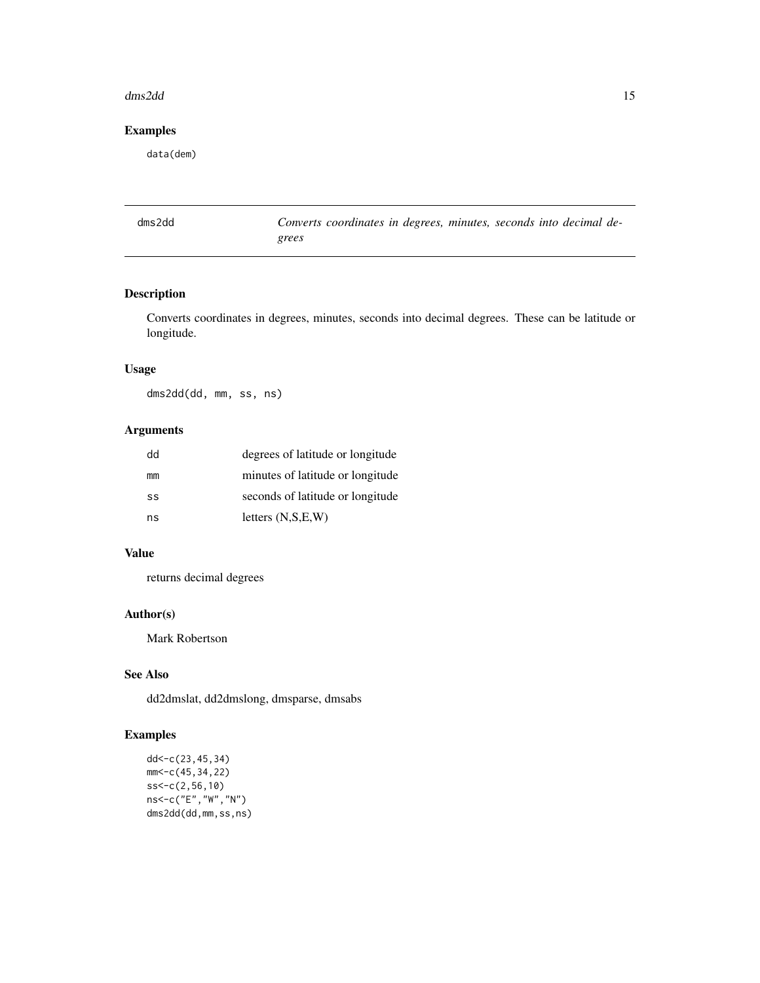#### <span id="page-14-0"></span>dms2dd 15

# Examples

data(dem)

| dms2dd |       | Converts coordinates in degrees, minutes, seconds into decimal de- |  |  |  |  |
|--------|-------|--------------------------------------------------------------------|--|--|--|--|
|        | grees |                                                                    |  |  |  |  |

# Description

Converts coordinates in degrees, minutes, seconds into decimal degrees. These can be latitude or longitude.

# Usage

dms2dd(dd, mm, ss, ns)

# Arguments

| dd | degrees of latitude or longitude |
|----|----------------------------------|
| mm | minutes of latitude or longitude |
| SS | seconds of latitude or longitude |
| ns | letters $(N,S,E,W)$              |

# Value

returns decimal degrees

# Author(s)

Mark Robertson

# See Also

dd2dmslat, dd2dmslong, dmsparse, dmsabs

```
dd<-c(23,45,34)
mm<-c(45,34,22)
ss<-c(2,56,10)
ns<-c("E","W","N")
dms2dd(dd,mm,ss,ns)
```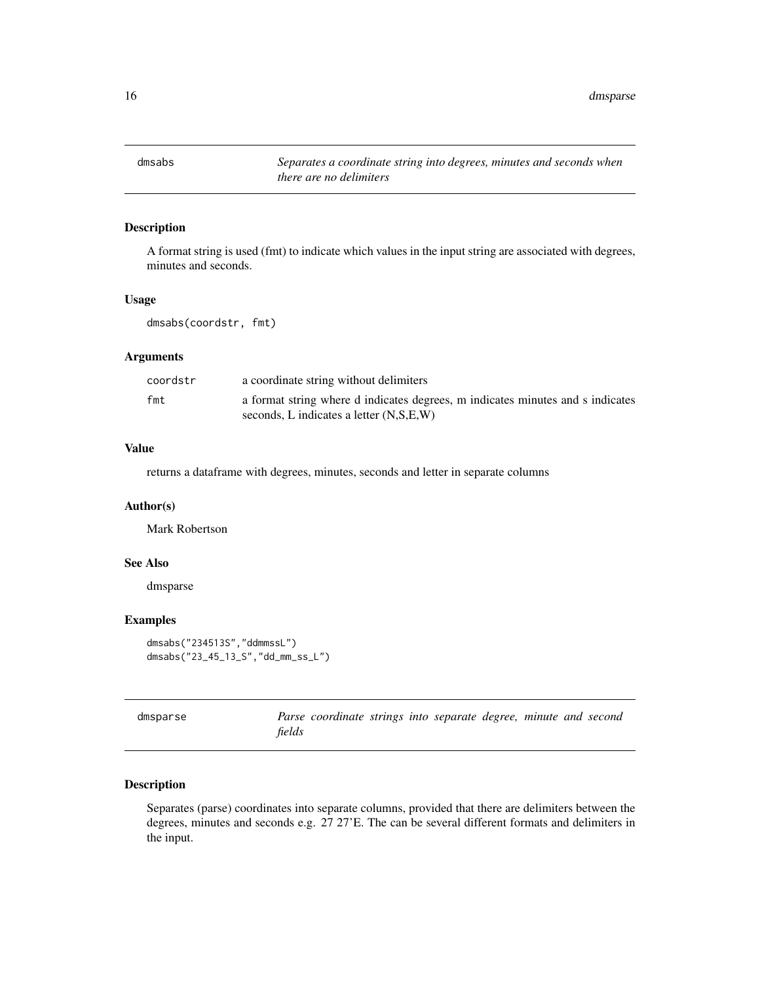<span id="page-15-0"></span>16 dmsparse

dmsabs *Separates a coordinate string into degrees, minutes and seconds when there are no delimiters*

# Description

A format string is used (fmt) to indicate which values in the input string are associated with degrees, minutes and seconds.

#### Usage

dmsabs(coordstr, fmt)

# Arguments

| coordstr | a coordinate string without delimiters                                                                                    |
|----------|---------------------------------------------------------------------------------------------------------------------------|
| fmt      | a format string where d indicates degrees, m indicates minutes and s indicates<br>seconds. L indicates a letter (N.S.E.W) |

#### Value

returns a dataframe with degrees, minutes, seconds and letter in separate columns

# Author(s)

Mark Robertson

#### See Also

dmsparse

#### Examples

```
dmsabs("234513S","ddmmssL")
dmsabs("23_45_13_S","dd_mm_ss_L")
```

| dmsparse |        | Parse coordinate strings into separate degree, minute and second |  |  |  |  |
|----------|--------|------------------------------------------------------------------|--|--|--|--|
|          | fields |                                                                  |  |  |  |  |

# Description

Separates (parse) coordinates into separate columns, provided that there are delimiters between the degrees, minutes and seconds e.g. 27 27'E. The can be several different formats and delimiters in the input.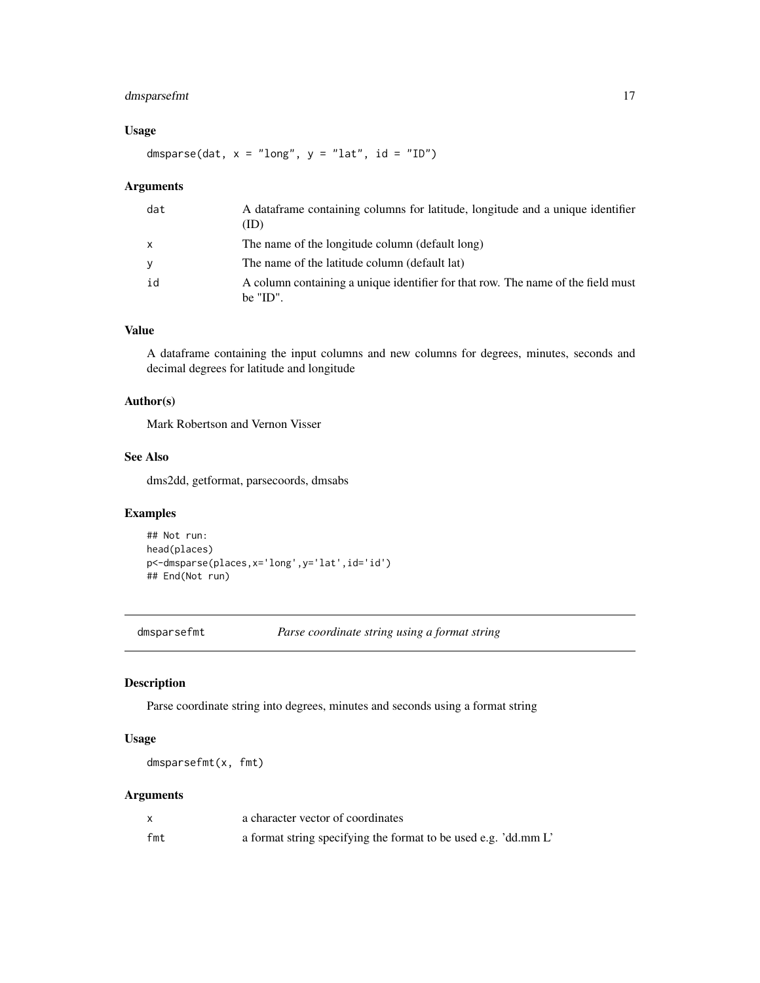# <span id="page-16-0"></span>dmsparsefmt 17

# Usage

dmsparse(dat,  $x =$  "long",  $y =$  "lat", id = "ID")

#### Arguments

| dat | A dataframe containing columns for latitude, longitude and a unique identifier<br>(ID)          |
|-----|-------------------------------------------------------------------------------------------------|
| X   | The name of the longitude column (default long)                                                 |
| У   | The name of the latitude column (default lat)                                                   |
| id  | A column containing a unique identifier for that row. The name of the field must<br>be $"ID"$ . |

# Value

A dataframe containing the input columns and new columns for degrees, minutes, seconds and decimal degrees for latitude and longitude

# Author(s)

Mark Robertson and Vernon Visser

# See Also

dms2dd, getformat, parsecoords, dmsabs

# Examples

```
## Not run:
head(places)
p<-dmsparse(places,x='long',y='lat',id='id')
## End(Not run)
```
dmsparsefmt *Parse coordinate string using a format string*

#### Description

Parse coordinate string into degrees, minutes and seconds using a format string

# Usage

dmsparsefmt(x, fmt)

#### Arguments

|     | a character vector of coordinates                               |
|-----|-----------------------------------------------------------------|
| fmt | a format string specifying the format to be used e.g. 'dd.mm L' |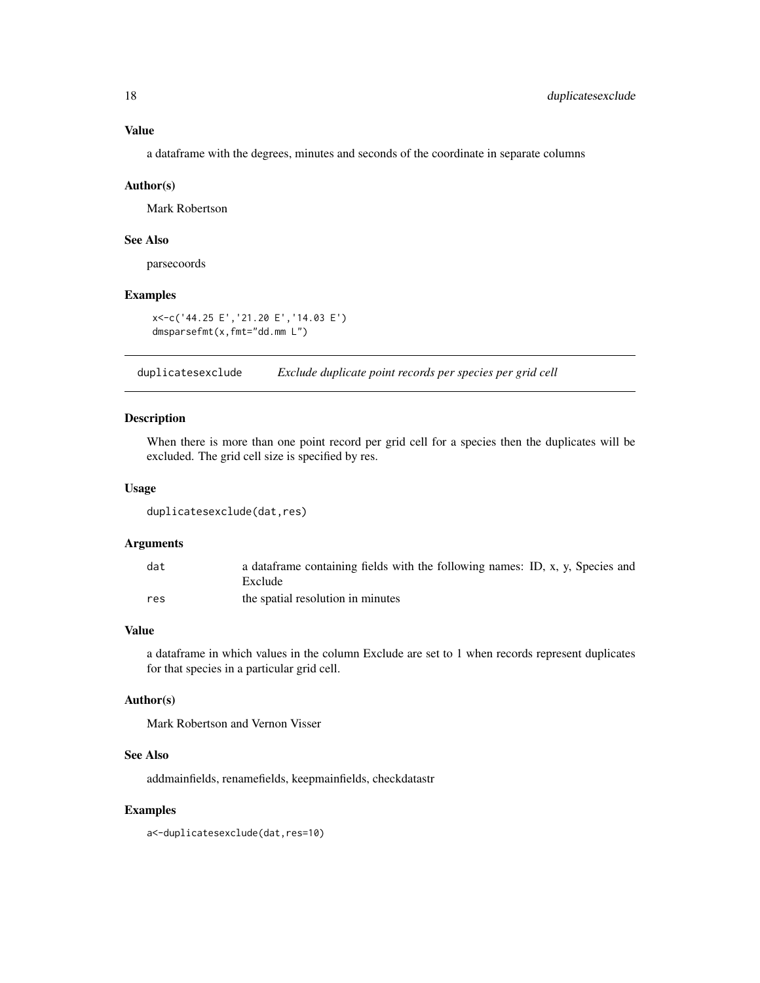# <span id="page-17-0"></span>Value

a dataframe with the degrees, minutes and seconds of the coordinate in separate columns

#### Author(s)

Mark Robertson

# See Also

parsecoords

# Examples

```
x<-c('44.25 E','21.20 E','14.03 E')
dmsparsefmt(x,fmt="dd.mm L")
```
duplicatesexclude *Exclude duplicate point records per species per grid cell*

#### Description

When there is more than one point record per grid cell for a species then the duplicates will be excluded. The grid cell size is specified by res.

#### Usage

```
duplicatesexclude(dat,res)
```
#### Arguments

| dat | a dataframe containing fields with the following names: ID, x, y, Species and |
|-----|-------------------------------------------------------------------------------|
|     | Exclude                                                                       |
| res | the spatial resolution in minutes                                             |

#### Value

a dataframe in which values in the column Exclude are set to 1 when records represent duplicates for that species in a particular grid cell.

#### Author(s)

Mark Robertson and Vernon Visser

# See Also

addmainfields, renamefields, keepmainfields, checkdatastr

#### Examples

a<-duplicatesexclude(dat,res=10)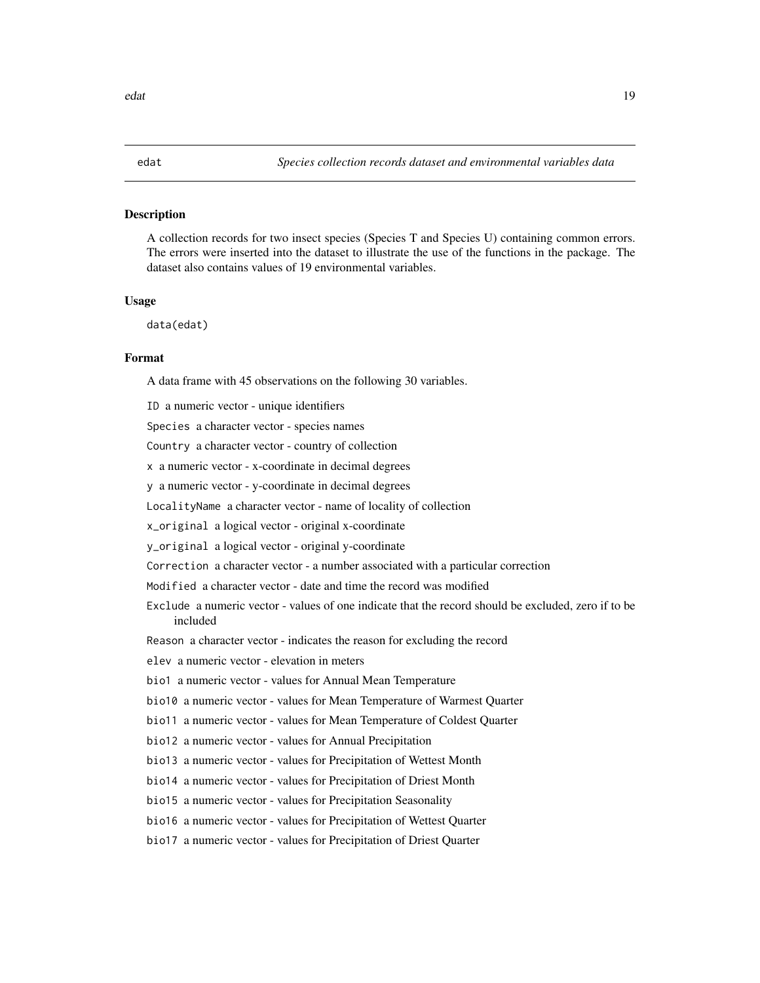<span id="page-18-0"></span>A collection records for two insect species (Species T and Species U) containing common errors. The errors were inserted into the dataset to illustrate the use of the functions in the package. The dataset also contains values of 19 environmental variables.

#### Usage

data(edat)

#### Format

A data frame with 45 observations on the following 30 variables.

ID a numeric vector - unique identifiers Species a character vector - species names Country a character vector - country of collection x a numeric vector - x-coordinate in decimal degrees y a numeric vector - y-coordinate in decimal degrees LocalityName a character vector - name of locality of collection x\_original a logical vector - original x-coordinate y\_original a logical vector - original y-coordinate Correction a character vector - a number associated with a particular correction Modified a character vector - date and time the record was modified Exclude a numeric vector - values of one indicate that the record should be excluded, zero if to be included Reason a character vector - indicates the reason for excluding the record elev a numeric vector - elevation in meters bio1 a numeric vector - values for Annual Mean Temperature bio10 a numeric vector - values for Mean Temperature of Warmest Quarter bio11 a numeric vector - values for Mean Temperature of Coldest Quarter bio12 a numeric vector - values for Annual Precipitation bio13 a numeric vector - values for Precipitation of Wettest Month bio14 a numeric vector - values for Precipitation of Driest Month bio15 a numeric vector - values for Precipitation Seasonality bio16 a numeric vector - values for Precipitation of Wettest Quarter bio17 a numeric vector - values for Precipitation of Driest Quarter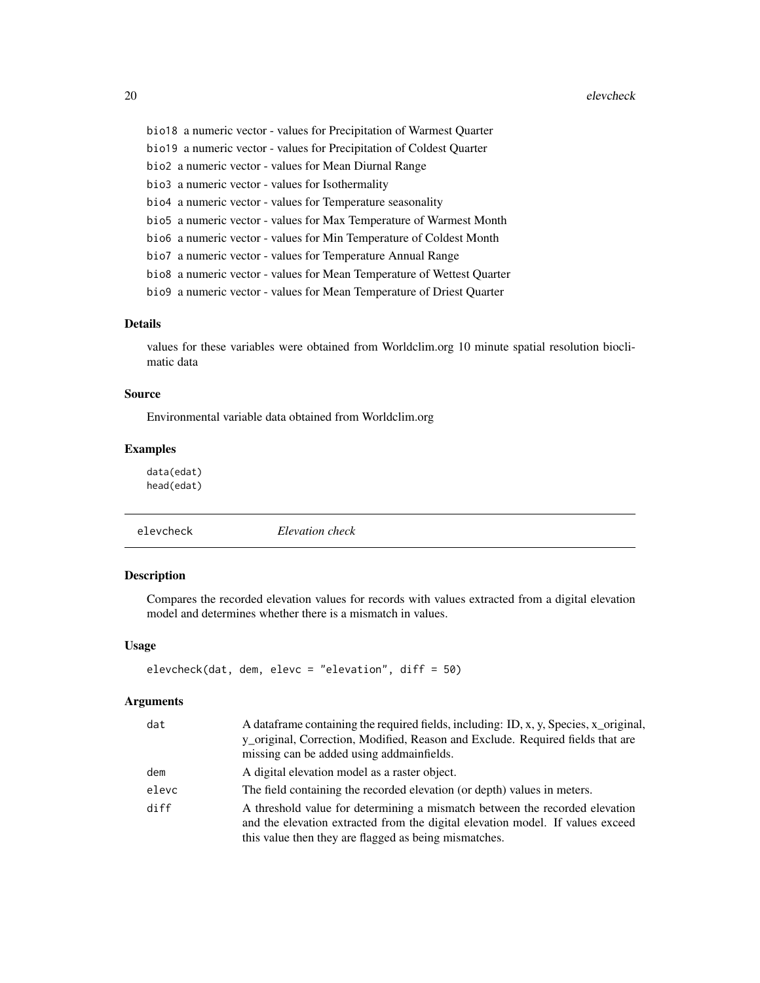<span id="page-19-0"></span>bio18 a numeric vector - values for Precipitation of Warmest Quarter bio19 a numeric vector - values for Precipitation of Coldest Quarter bio2 a numeric vector - values for Mean Diurnal Range bio3 a numeric vector - values for Isothermality bio4 a numeric vector - values for Temperature seasonality bio5 a numeric vector - values for Max Temperature of Warmest Month bio6 a numeric vector - values for Min Temperature of Coldest Month bio7 a numeric vector - values for Temperature Annual Range bio8 a numeric vector - values for Mean Temperature of Wettest Quarter bio9 a numeric vector - values for Mean Temperature of Driest Quarter

# Details

values for these variables were obtained from Worldclim.org 10 minute spatial resolution bioclimatic data

#### Source

Environmental variable data obtained from Worldclim.org

# Examples

data(edat) head(edat)

elevcheck *Elevation check*

#### Description

Compares the recorded elevation values for records with values extracted from a digital elevation model and determines whether there is a mismatch in values.

#### Usage

```
elevcheck(dat, dem, elevc = "elevation", diff = 50)
```
#### Arguments

| A data frame containing the required fields, including: ID, x, y, Species, x_original,                                                                                                                                 |
|------------------------------------------------------------------------------------------------------------------------------------------------------------------------------------------------------------------------|
| y_original, Correction, Modified, Reason and Exclude. Required fields that are                                                                                                                                         |
| missing can be added using addmainfields.                                                                                                                                                                              |
| A digital elevation model as a raster object.                                                                                                                                                                          |
| The field containing the recorded elevation (or depth) values in meters.                                                                                                                                               |
| A threshold value for determining a mismatch between the recorded elevation<br>and the elevation extracted from the digital elevation model. If values exceed<br>this value then they are flagged as being mismatches. |
|                                                                                                                                                                                                                        |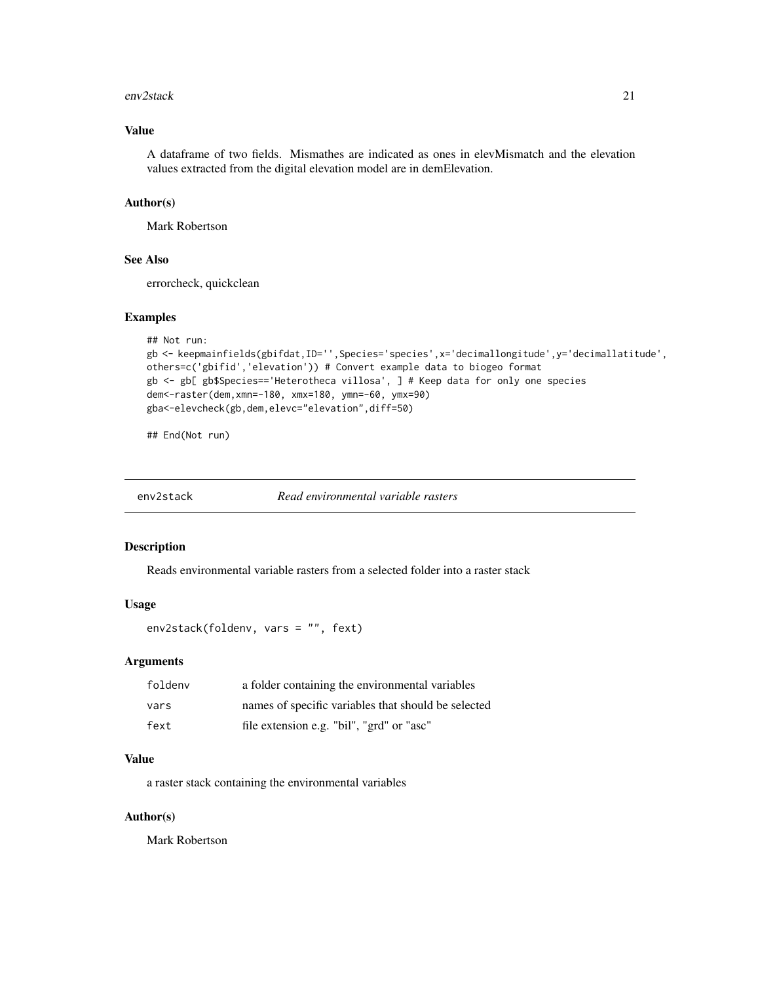#### <span id="page-20-0"></span> $env2$ stack 21

# Value

A dataframe of two fields. Mismathes are indicated as ones in elevMismatch and the elevation values extracted from the digital elevation model are in demElevation.

#### Author(s)

Mark Robertson

# See Also

errorcheck, quickclean

#### Examples

```
## Not run:
gb <- keepmainfields(gbifdat,ID='',Species='species',x='decimallongitude',y='decimallatitude',
others=c('gbifid','elevation')) # Convert example data to biogeo format
gb <- gb[ gb$Species=='Heterotheca villosa', ] # Keep data for only one species
dem<-raster(dem,xmn=-180, xmx=180, ymn=-60, ymx=90)
gba<-elevcheck(gb,dem,elevc="elevation",diff=50)
```
## End(Not run)

env2stack *Read environmental variable rasters*

#### Description

Reads environmental variable rasters from a selected folder into a raster stack

#### Usage

env2stack(foldenv, vars = "", fext)

#### Arguments

| foldenv | a folder containing the environmental variables     |
|---------|-----------------------------------------------------|
| vars    | names of specific variables that should be selected |
| fext    | file extension e.g. "bil", "grd" or "asc"           |

#### Value

a raster stack containing the environmental variables

#### Author(s)

Mark Robertson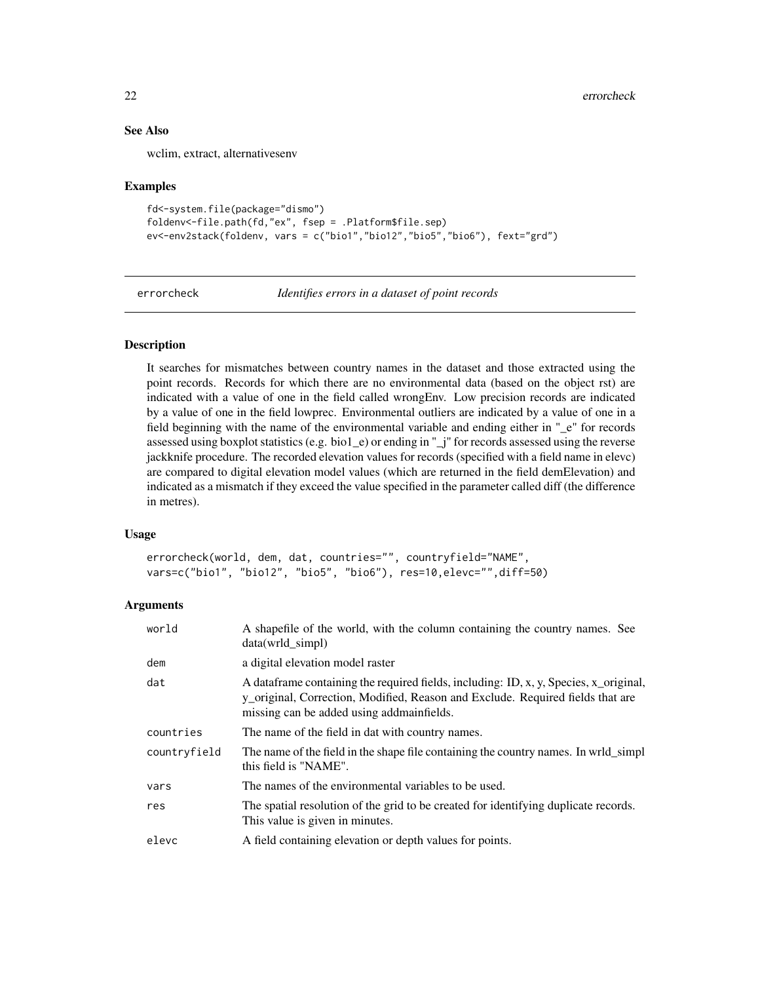# See Also

wclim, extract, alternativesenv

#### Examples

```
fd<-system.file(package="dismo")
foldenv<-file.path(fd,"ex", fsep = .Platform$file.sep)
ev<-env2stack(foldenv, vars = c("bio1","bio12","bio5","bio6"), fext="grd")
```
errorcheck *Identifies errors in a dataset of point records*

#### Description

It searches for mismatches between country names in the dataset and those extracted using the point records. Records for which there are no environmental data (based on the object rst) are indicated with a value of one in the field called wrongEnv. Low precision records are indicated by a value of one in the field lowprec. Environmental outliers are indicated by a value of one in a field beginning with the name of the environmental variable and ending either in "\_e" for records assessed using boxplot statistics (e.g. bio1\_e) or ending in " $j$ " for records assessed using the reverse jackknife procedure. The recorded elevation values for records (specified with a field name in elevc) are compared to digital elevation model values (which are returned in the field demElevation) and indicated as a mismatch if they exceed the value specified in the parameter called diff (the difference in metres).

#### Usage

errorcheck(world, dem, dat, countries="", countryfield="NAME", vars=c("bio1", "bio12", "bio5", "bio6"), res=10,elevc="",diff=50)

#### Arguments

| world        | A shapefile of the world, with the column containing the country names. See<br>data(wrld simpl)                                                                                                                       |
|--------------|-----------------------------------------------------------------------------------------------------------------------------------------------------------------------------------------------------------------------|
| dem          | a digital elevation model raster                                                                                                                                                                                      |
| dat          | A data frame containing the required fields, including: ID, x, y, Species, x_original,<br>y_original, Correction, Modified, Reason and Exclude. Required fields that are<br>missing can be added using addmainfields. |
| countries    | The name of the field in dat with country names.                                                                                                                                                                      |
| countryfield | The name of the field in the shape file containing the country names. In wrid_simpl<br>this field is "NAME".                                                                                                          |
| vars         | The names of the environmental variables to be used.                                                                                                                                                                  |
| res          | The spatial resolution of the grid to be created for identifying duplicate records.<br>This value is given in minutes.                                                                                                |
| elevc        | A field containing elevation or depth values for points.                                                                                                                                                              |

<span id="page-21-0"></span>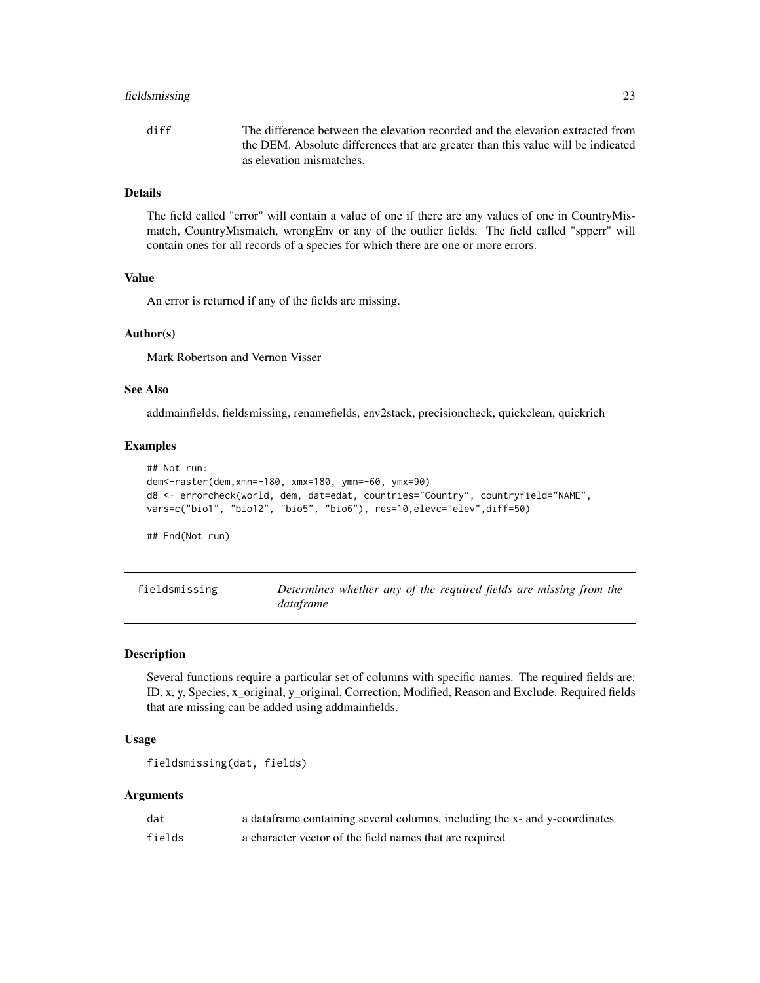#### <span id="page-22-0"></span>fieldsmissing 23

diff The difference between the elevation recorded and the elevation extracted from the DEM. Absolute differences that are greater than this value will be indicated as elevation mismatches.

# Details

The field called "error" will contain a value of one if there are any values of one in CountryMismatch, CountryMismatch, wrongEnv or any of the outlier fields. The field called "spperr" will contain ones for all records of a species for which there are one or more errors.

#### Value

An error is returned if any of the fields are missing.

#### Author(s)

Mark Robertson and Vernon Visser

#### See Also

addmainfields, fieldsmissing, renamefields, env2stack, precisioncheck, quickclean, quickrich

#### Examples

```
## Not run:
dem<-raster(dem,xmn=-180, xmx=180, ymn=-60, ymx=90)
d8 <- errorcheck(world, dem, dat=edat, countries="Country", countryfield="NAME",
vars=c("bio1", "bio12", "bio5", "bio6"), res=10,elevc="elev",diff=50)
```
## End(Not run)

fieldsmissing *Determines whether any of the required fields are missing from the dataframe*

#### Description

Several functions require a particular set of columns with specific names. The required fields are: ID, x, y, Species, x\_original, y\_original, Correction, Modified, Reason and Exclude. Required fields that are missing can be added using addmainfields.

#### Usage

```
fieldsmissing(dat, fields)
```
#### Arguments

| dat    | a data frame containing several columns, including the x- and y-coordinates |
|--------|-----------------------------------------------------------------------------|
| fields | a character vector of the field names that are required                     |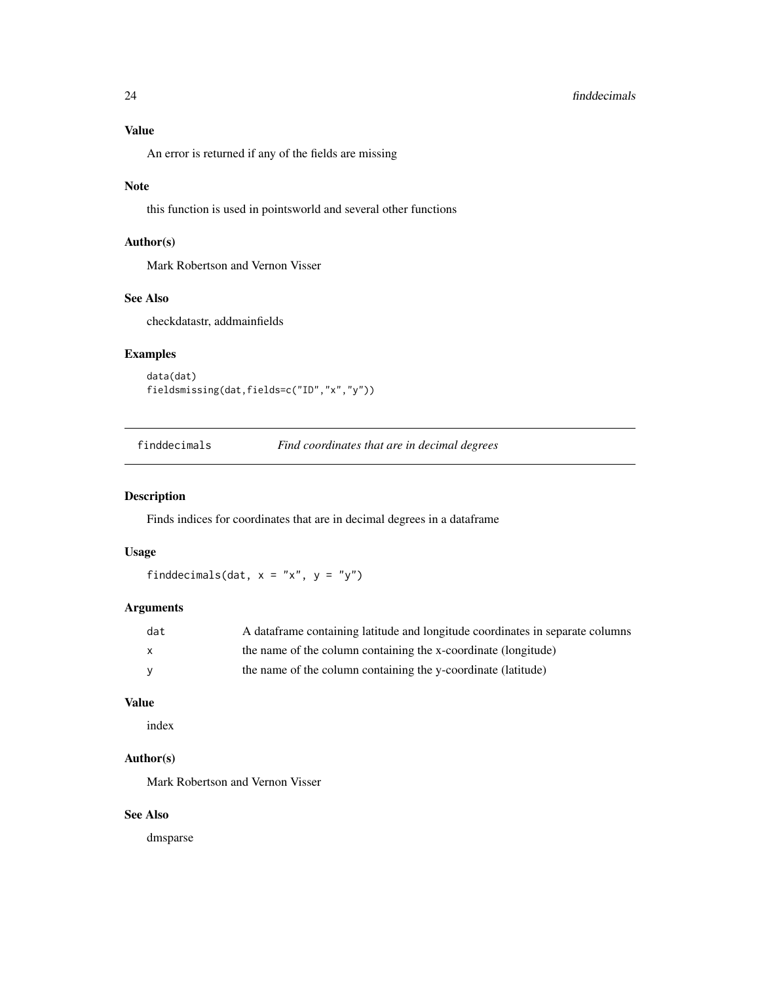# <span id="page-23-0"></span>24 finddecimals and the state of the state of the state of the state of the state of the state of the state of the state of the state of the state of the state of the state of the state of the state of the state of the sta

# Value

An error is returned if any of the fields are missing

#### Note

this function is used in pointsworld and several other functions

# Author(s)

Mark Robertson and Vernon Visser

# See Also

checkdatastr, addmainfields

# Examples

```
data(dat)
fieldsmissing(dat,fields=c("ID","x","y"))
```
finddecimals *Find coordinates that are in decimal degrees*

# Description

Finds indices for coordinates that are in decimal degrees in a dataframe

# Usage

finddecimals(dat,  $x = "x", y = "y")$ 

# Arguments

| dat          | A dataframe containing latitude and longitude coordinates in separate columns |
|--------------|-------------------------------------------------------------------------------|
| $\mathbf{x}$ | the name of the column containing the x-coordinate (longitude)                |
| <b>V</b>     | the name of the column containing the y-coordinate (latitude)                 |

# Value

index

# Author(s)

Mark Robertson and Vernon Visser

# See Also

dmsparse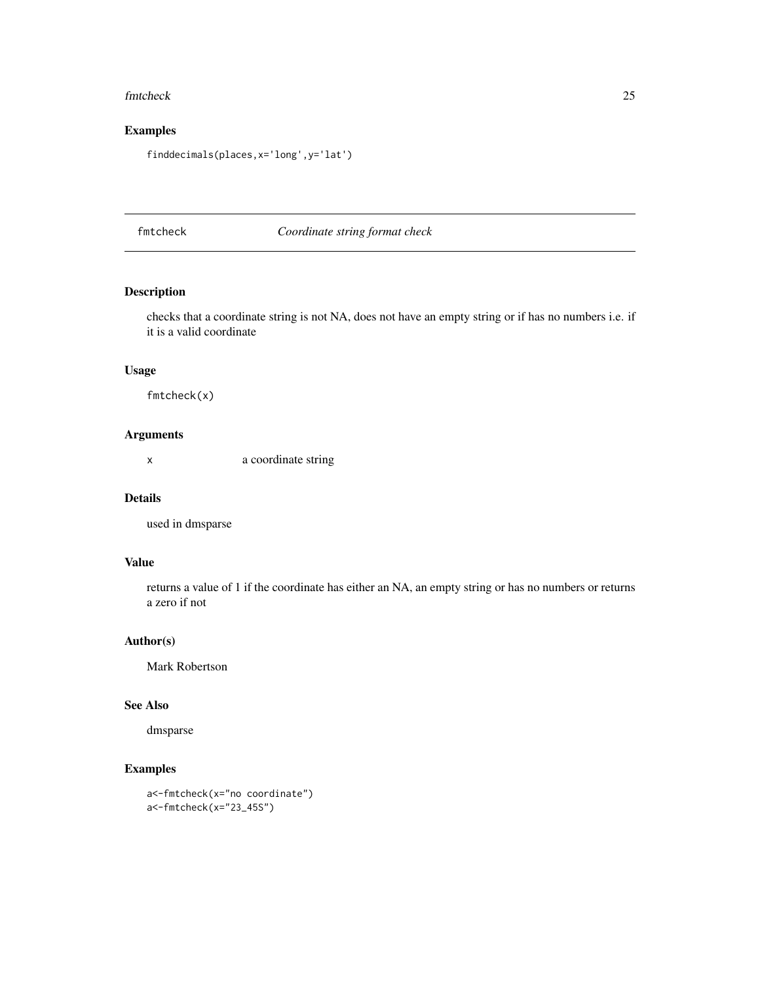#### <span id="page-24-0"></span>fmtcheck 25

# Examples

finddecimals(places,x='long',y='lat')

fmtcheck *Coordinate string format check*

# Description

checks that a coordinate string is not NA, does not have an empty string or if has no numbers i.e. if it is a valid coordinate

# Usage

fmtcheck(x)

# Arguments

x a coordinate string

#### Details

used in dmsparse

# Value

returns a value of 1 if the coordinate has either an NA, an empty string or has no numbers or returns a zero if not

#### Author(s)

Mark Robertson

#### See Also

dmsparse

```
a<-fmtcheck(x="no coordinate")
a<-fmtcheck(x="23_45S")
```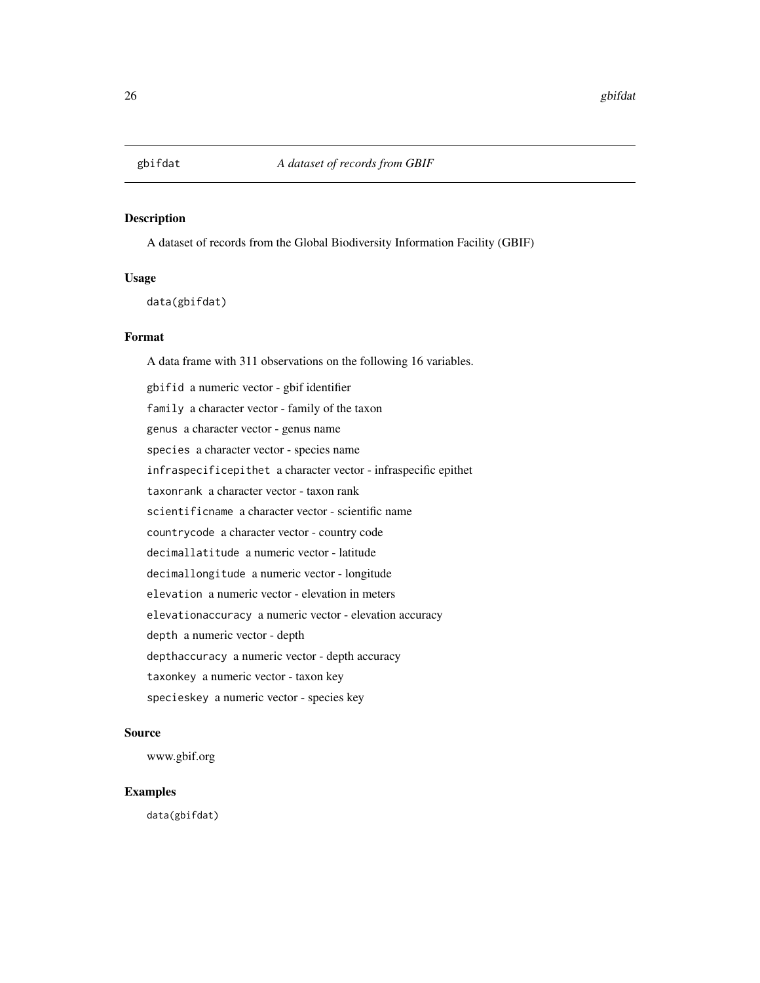<span id="page-25-0"></span>

A dataset of records from the Global Biodiversity Information Facility (GBIF)

#### Usage

data(gbifdat)

#### Format

A data frame with 311 observations on the following 16 variables.

gbifid a numeric vector - gbif identifier family a character vector - family of the taxon genus a character vector - genus name species a character vector - species name infraspecificepithet a character vector - infraspecific epithet taxonrank a character vector - taxon rank scientificname a character vector - scientific name countrycode a character vector - country code decimallatitude a numeric vector - latitude decimallongitude a numeric vector - longitude elevation a numeric vector - elevation in meters elevationaccuracy a numeric vector - elevation accuracy depth a numeric vector - depth depthaccuracy a numeric vector - depth accuracy taxonkey a numeric vector - taxon key specieskey a numeric vector - species key

# Source

www.gbif.org

# Examples

data(gbifdat)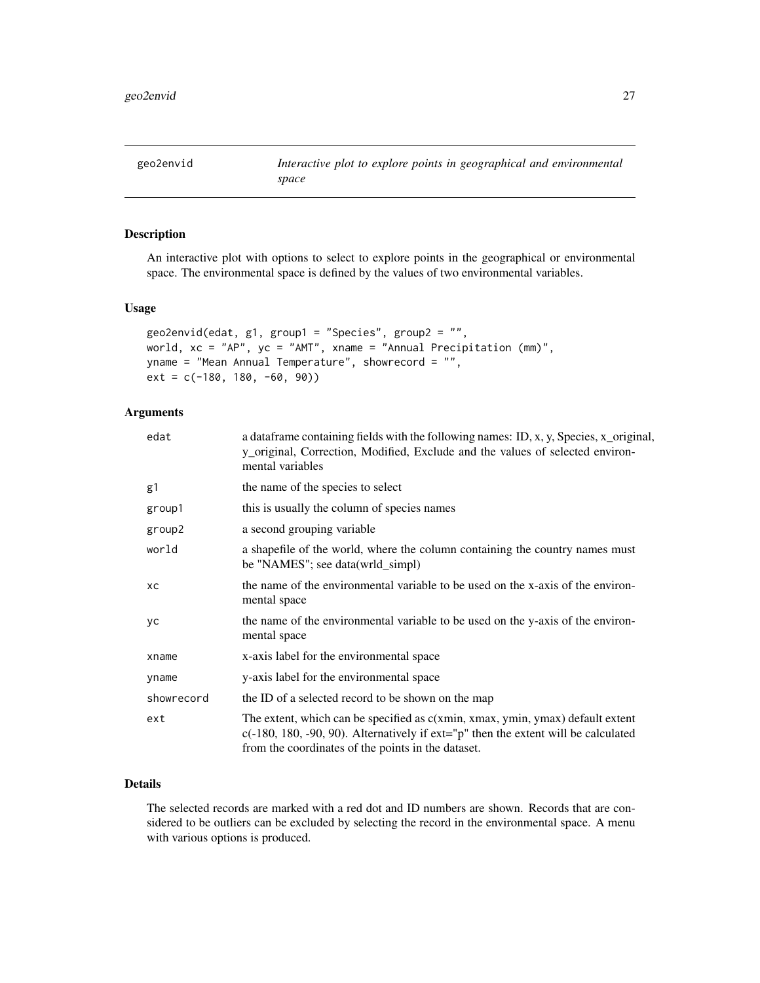<span id="page-26-0"></span>

An interactive plot with options to select to explore points in the geographical or environmental space. The environmental space is defined by the values of two environmental variables.

#### Usage

```
geo2envid(edat, g1, group1 = "Species", group2 = "",
world, xc = "AP", yc = "AMT", xname = "Annual Precipitation (mm)",
yname = "Mean Annual Temperature", showrecord = "",
ext = c(-180, 180, -60, 90)
```
#### Arguments

| edat       | a dataframe containing fields with the following names: ID, x, y, Species, x_original,<br>y_original, Correction, Modified, Exclude and the values of selected environ-<br>mental variables                                     |
|------------|---------------------------------------------------------------------------------------------------------------------------------------------------------------------------------------------------------------------------------|
| g1         | the name of the species to select                                                                                                                                                                                               |
| group1     | this is usually the column of species names                                                                                                                                                                                     |
| group2     | a second grouping variable                                                                                                                                                                                                      |
| world      | a shapefile of the world, where the column containing the country names must<br>be "NAMES"; see data(wrld_simpl)                                                                                                                |
| xс         | the name of the environmental variable to be used on the x-axis of the environ-<br>mental space                                                                                                                                 |
| yс         | the name of the environmental variable to be used on the y-axis of the environ-<br>mental space                                                                                                                                 |
| xname      | x-axis label for the environmental space                                                                                                                                                                                        |
| yname      | y-axis label for the environmental space                                                                                                                                                                                        |
| showrecord | the ID of a selected record to be shown on the map                                                                                                                                                                              |
| ext        | The extent, which can be specified as c(xmin, xmax, ymin, ymax) default extent<br>$c(-180, 180, -90, 90)$ . Alternatively if $ext="p"$ then the extent will be calculated<br>from the coordinates of the points in the dataset. |

#### Details

The selected records are marked with a red dot and ID numbers are shown. Records that are considered to be outliers can be excluded by selecting the record in the environmental space. A menu with various options is produced.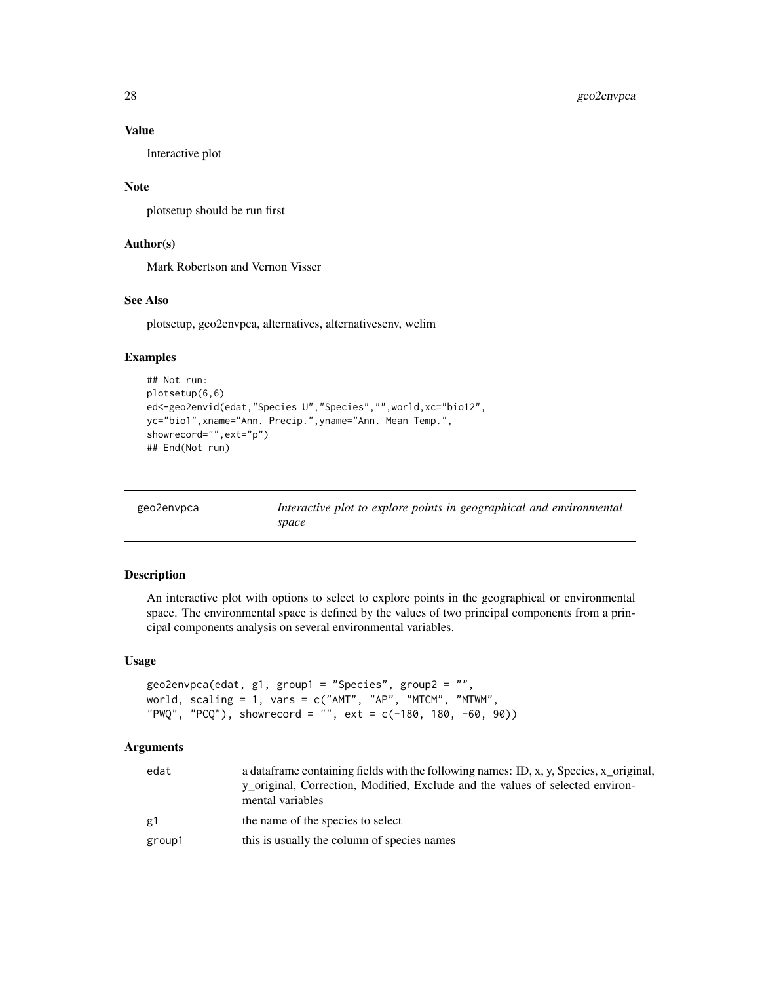#### Value

Interactive plot

#### Note

plotsetup should be run first

# Author(s)

Mark Robertson and Vernon Visser

# See Also

plotsetup, geo2envpca, alternatives, alternativesenv, wclim

#### Examples

```
## Not run:
plotsetup(6,6)
ed<-geo2envid(edat,"Species U","Species","",world,xc="bio12",
yc="bio1",xname="Ann. Precip.",yname="Ann. Mean Temp.",
showrecord="",ext="p")
## End(Not run)
```

| geo2envpca |  |
|------------|--|

geo2envpca *Interactive plot to explore points in geographical and environmental space*

#### Description

An interactive plot with options to select to explore points in the geographical or environmental space. The environmental space is defined by the values of two principal components from a principal components analysis on several environmental variables.

#### Usage

```
geo2envpca(edat, g1, group1 = "Species", group2 = "",
world, scaling = 1, vars = c("AMT", "AP", "MTCM", "MTWM",
"PWQ", "PCQ"), showrecord = "", ext = c(-180, 180, -60, 90))
```
#### **Arguments**

| edat   | a data frame containing fields with the following names: ID, x, y, Species, x_original,<br>y original, Correction, Modified, Exclude and the values of selected environ-<br>mental variables |
|--------|----------------------------------------------------------------------------------------------------------------------------------------------------------------------------------------------|
| g1     | the name of the species to select                                                                                                                                                            |
| group1 | this is usually the column of species names                                                                                                                                                  |

<span id="page-27-0"></span>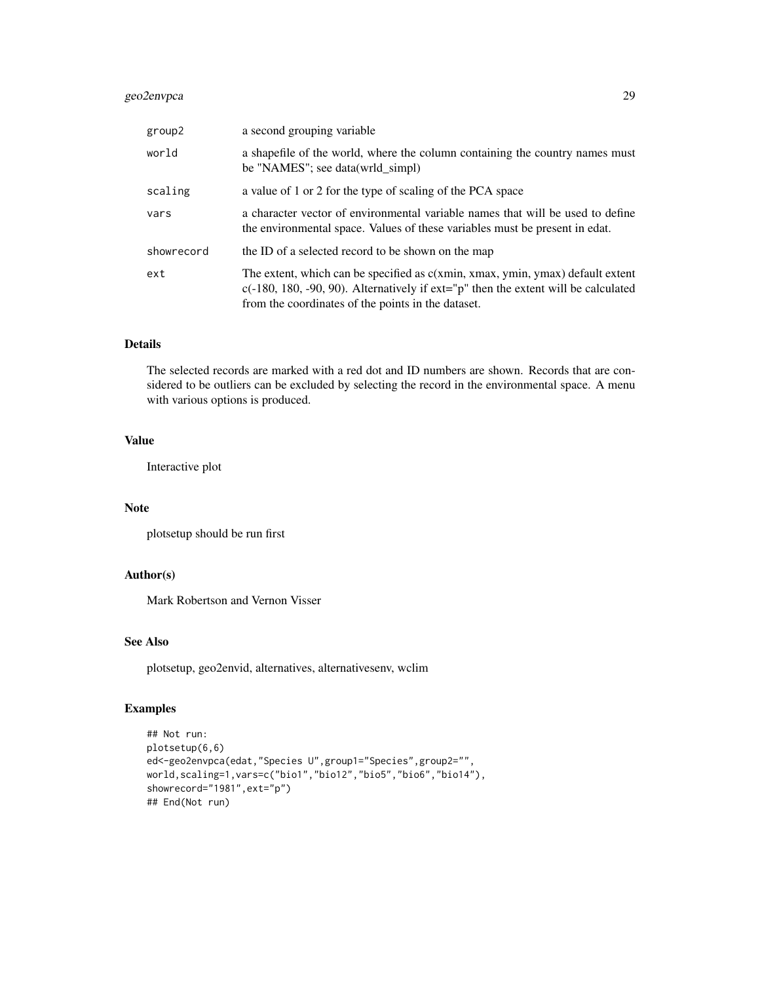# geo2envpca 29

| group2     | a second grouping variable                                                                                                                                                                                                      |
|------------|---------------------------------------------------------------------------------------------------------------------------------------------------------------------------------------------------------------------------------|
| world      | a shapefile of the world, where the column containing the country names must<br>be "NAMES"; see data(wrld_simpl)                                                                                                                |
| scaling    | a value of 1 or 2 for the type of scaling of the PCA space                                                                                                                                                                      |
| vars       | a character vector of environmental variable names that will be used to define<br>the environmental space. Values of these variables must be present in edat.                                                                   |
| showrecord | the ID of a selected record to be shown on the map                                                                                                                                                                              |
| ext        | The extent, which can be specified as c(xmin, xmax, ymin, ymax) default extent<br>$c(-180, 180, -90, 90)$ . Alternatively if $ext="p"$ then the extent will be calculated<br>from the coordinates of the points in the dataset. |

#### Details

The selected records are marked with a red dot and ID numbers are shown. Records that are considered to be outliers can be excluded by selecting the record in the environmental space. A menu with various options is produced.

#### Value

Interactive plot

#### Note

plotsetup should be run first

# Author(s)

Mark Robertson and Vernon Visser

# See Also

plotsetup, geo2envid, alternatives, alternativesenv, wclim

```
## Not run:
plotsetup(6,6)
ed<-geo2envpca(edat,"Species U",group1="Species",group2="",
world,scaling=1,vars=c("bio1","bio12","bio5","bio6","bio14"),
showrecord="1981",ext="p")
## End(Not run)
```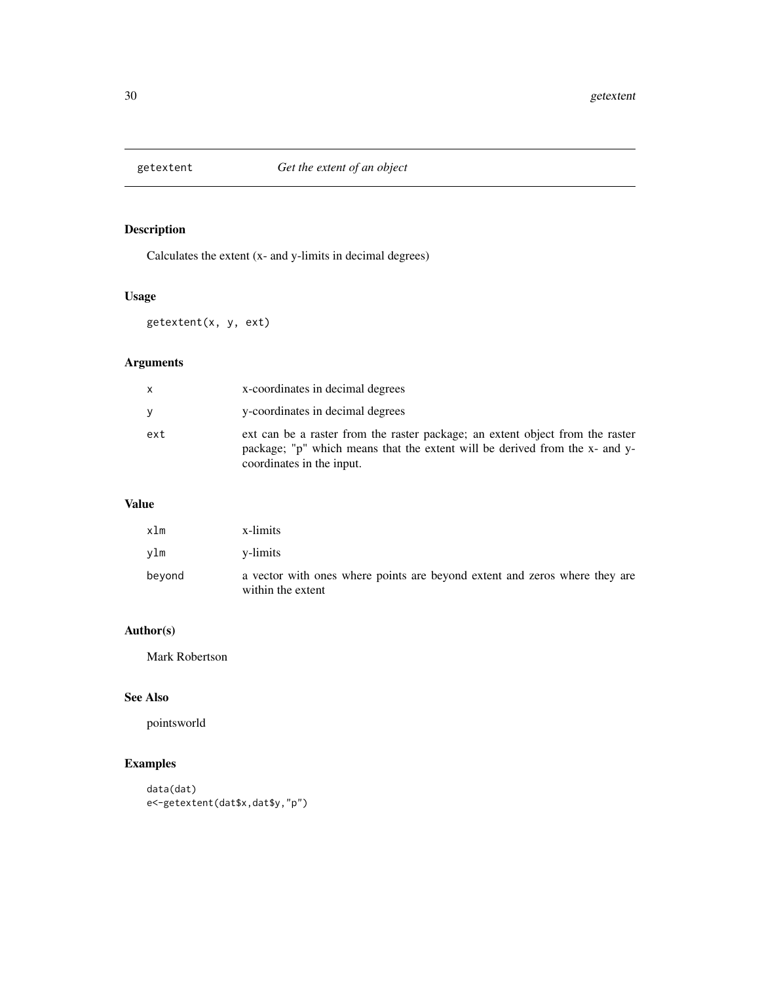<span id="page-29-0"></span>

Calculates the extent (x- and y-limits in decimal degrees)

# Usage

getextent(x, y, ext)

# Arguments

|     | x-coordinates in decimal degrees                                                                                                                                                          |
|-----|-------------------------------------------------------------------------------------------------------------------------------------------------------------------------------------------|
| ۷   | y-coordinates in decimal degrees                                                                                                                                                          |
| ext | ext can be a raster from the raster package; an extent object from the raster<br>package; "p" which means that the extent will be derived from the x- and y-<br>coordinates in the input. |

#### Value

| $x \ln$ | x-limits                                                                                        |
|---------|-------------------------------------------------------------------------------------------------|
| vlm     | y-limits                                                                                        |
| beyond  | a vector with ones where points are beyond extent and zeros where they are<br>within the extent |

# Author(s)

Mark Robertson

# See Also

pointsworld

```
data(dat)
e<-getextent(dat$x,dat$y,"p")
```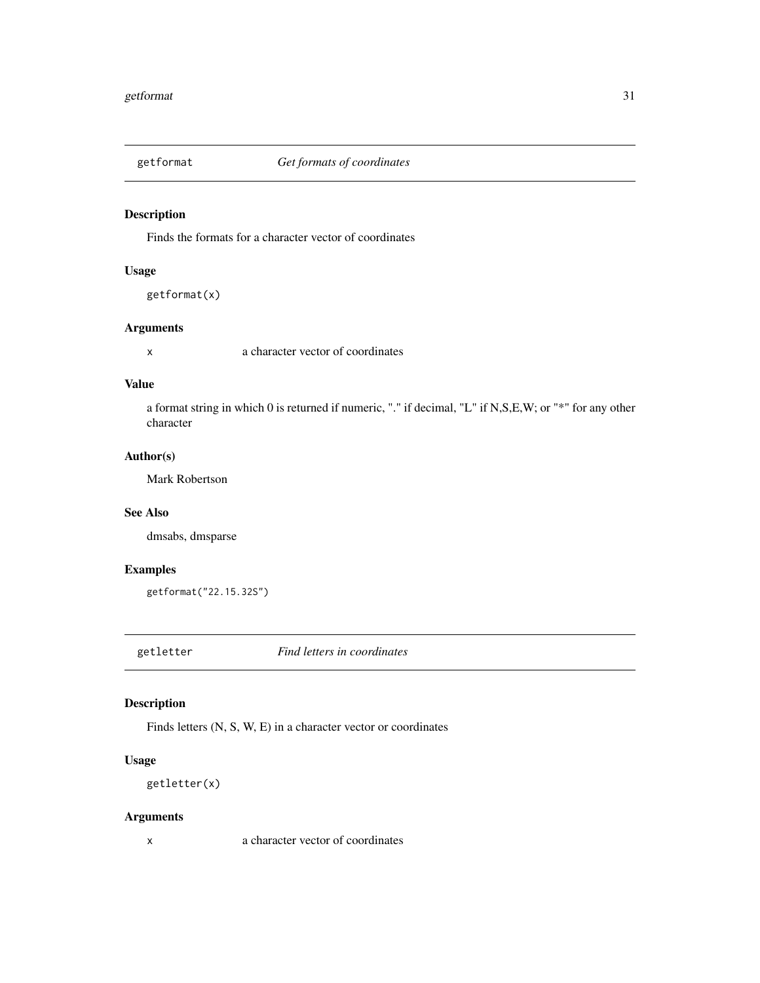<span id="page-30-0"></span>

Finds the formats for a character vector of coordinates

# Usage

getformat(x)

#### Arguments

x a character vector of coordinates

#### Value

a format string in which 0 is returned if numeric, "." if decimal, "L" if N,S,E,W; or "\*" for any other character

# Author(s)

Mark Robertson

# See Also

dmsabs, dmsparse

# Examples

getformat("22.15.32S")

getletter *Find letters in coordinates*

# Description

Finds letters (N, S, W, E) in a character vector or coordinates

# Usage

getletter(x)

# Arguments

x a character vector of coordinates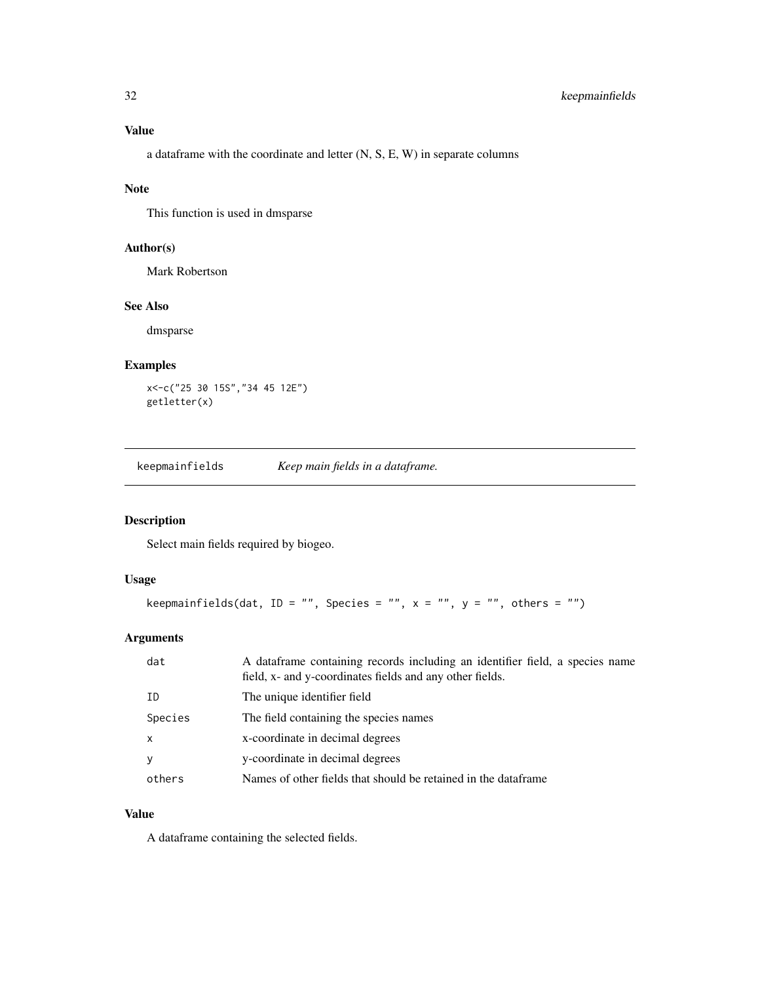<span id="page-31-0"></span>a dataframe with the coordinate and letter (N, S, E, W) in separate columns

#### Note

This function is used in dmsparse

#### Author(s)

Mark Robertson

# See Also

dmsparse

# Examples

```
x<-c("25 30 15S","34 45 12E")
getletter(x)
```
keepmainfields *Keep main fields in a dataframe.*

# Description

Select main fields required by biogeo.

# Usage

```
keepmainfields(dat, ID = "", Species = "", x = "", y = "", others = "")
```
# Arguments

| dat          | A dataframe containing records including an identifier field, a species name<br>field, x- and y-coordinates fields and any other fields. |
|--------------|------------------------------------------------------------------------------------------------------------------------------------------|
| ID           | The unique identifier field                                                                                                              |
| Species      | The field containing the species names                                                                                                   |
| $\mathsf{x}$ | x-coordinate in decimal degrees                                                                                                          |
| <b>y</b>     | y-coordinate in decimal degrees                                                                                                          |
| others       | Names of other fields that should be retained in the dataframe                                                                           |

# Value

A dataframe containing the selected fields.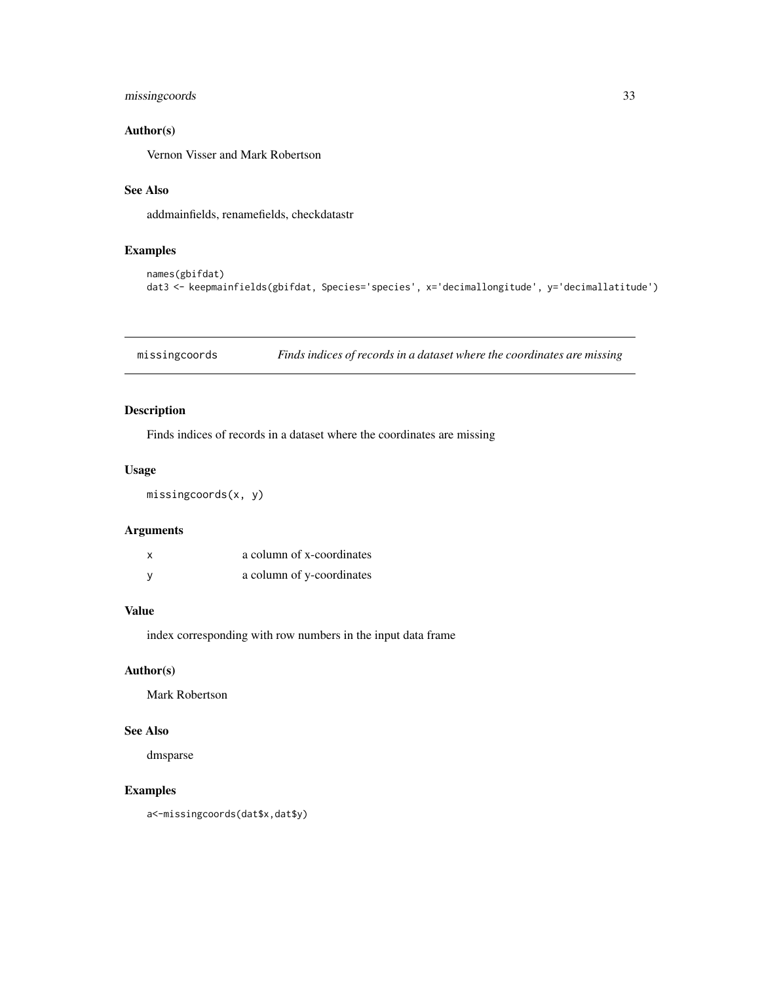# <span id="page-32-0"></span>missingcoords 33

# Author(s)

Vernon Visser and Mark Robertson

# See Also

addmainfields, renamefields, checkdatastr

# Examples

```
names(gbifdat)
dat3 <- keepmainfields(gbifdat, Species='species', x='decimallongitude', y='decimallatitude')
```
missingcoords *Finds indices of records in a dataset where the coordinates are missing*

# Description

Finds indices of records in a dataset where the coordinates are missing

#### Usage

missingcoords(x, y)

#### Arguments

| x | a column of x-coordinates |
|---|---------------------------|
| ٧ | a column of y-coordinates |

# Value

index corresponding with row numbers in the input data frame

# Author(s)

Mark Robertson

# See Also

dmsparse

# Examples

a<-missingcoords(dat\$x,dat\$y)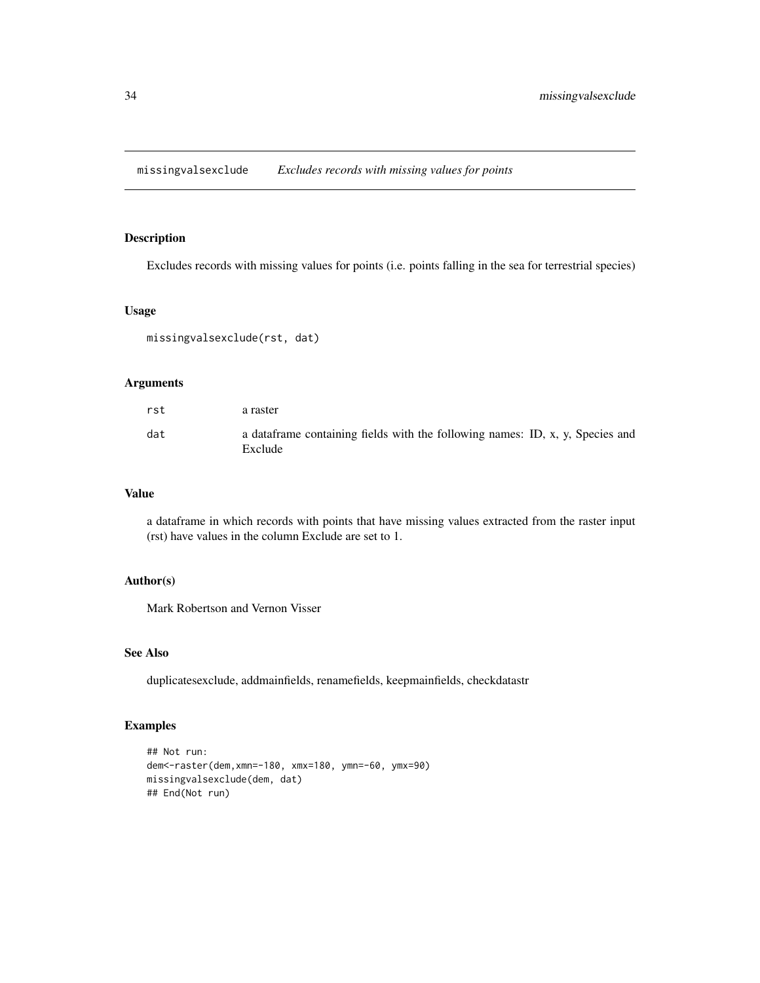<span id="page-33-0"></span>missingvalsexclude *Excludes records with missing values for points*

# Description

Excludes records with missing values for points (i.e. points falling in the sea for terrestrial species)

#### Usage

missingvalsexclude(rst, dat)

# Arguments

| rst | a raster                                                                                  |
|-----|-------------------------------------------------------------------------------------------|
| dat | a data frame containing fields with the following names: ID, x, y, Species and<br>Exclude |

#### Value

a dataframe in which records with points that have missing values extracted from the raster input (rst) have values in the column Exclude are set to 1.

# Author(s)

Mark Robertson and Vernon Visser

#### See Also

duplicatesexclude, addmainfields, renamefields, keepmainfields, checkdatastr

```
## Not run:
dem<-raster(dem,xmn=-180, xmx=180, ymn=-60, ymx=90)
missingvalsexclude(dem, dat)
## End(Not run)
```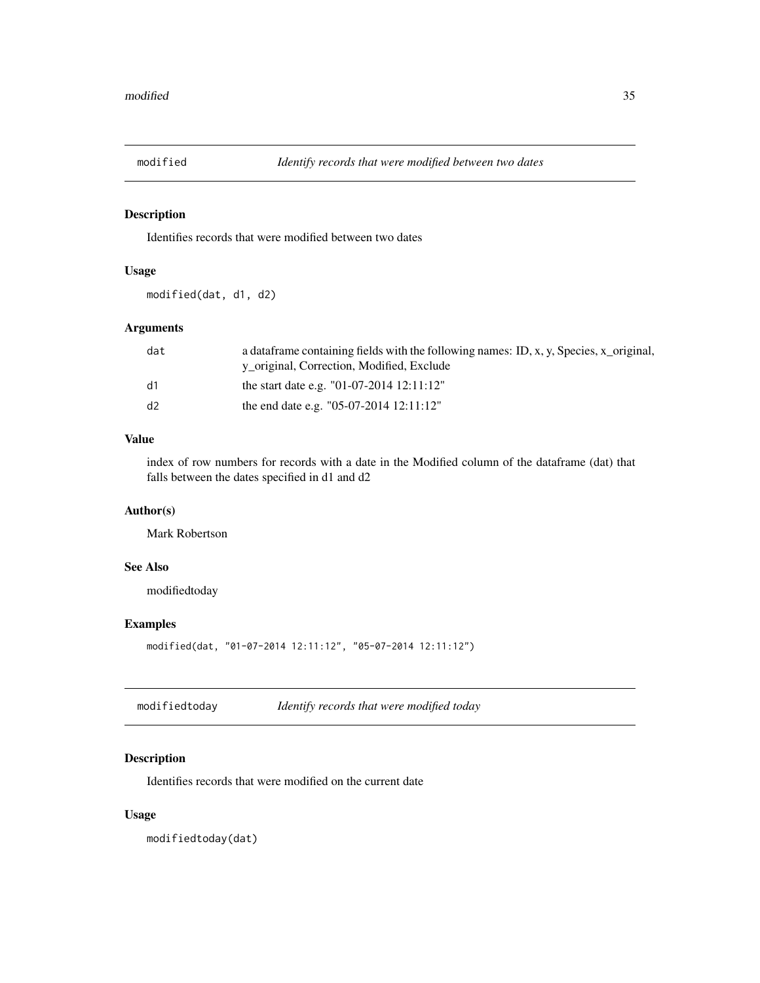<span id="page-34-0"></span>

Identifies records that were modified between two dates

# Usage

modified(dat, d1, d2)

# Arguments

| dat | a data frame containing fields with the following names: ID, x, y, Species, x_original, |
|-----|-----------------------------------------------------------------------------------------|
|     | y original, Correction, Modified, Exclude                                               |
| d1  | the start date e.g. "01-07-2014 12:11:12"                                               |
| d2  | the end date e.g. $\degree$ 05-07-2014 12:11:12 $\degree$                               |

# Value

index of row numbers for records with a date in the Modified column of the dataframe (dat) that falls between the dates specified in d1 and d2

#### Author(s)

Mark Robertson

# See Also

modifiedtoday

# Examples

modified(dat, "01-07-2014 12:11:12", "05-07-2014 12:11:12")

modifiedtoday *Identify records that were modified today*

# Description

Identifies records that were modified on the current date

#### Usage

modifiedtoday(dat)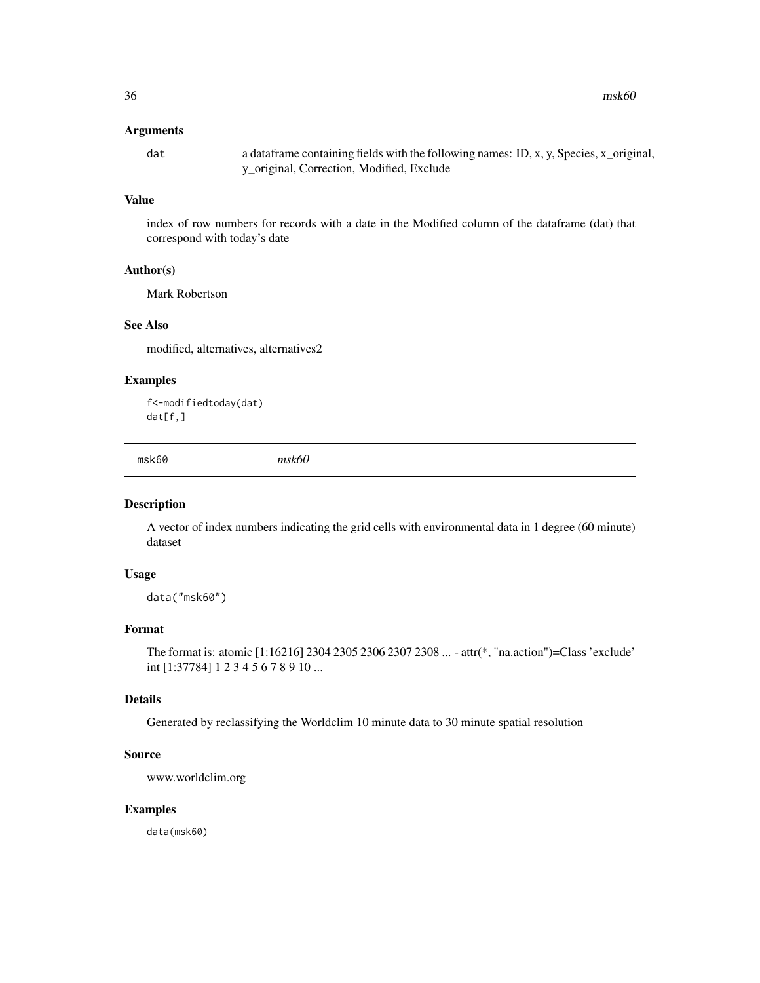<span id="page-35-0"></span> $36$  msk60

#### Arguments

dat a dataframe containing fields with the following names: ID, x, y, Species, x\_original, y\_original, Correction, Modified, Exclude

# Value

index of row numbers for records with a date in the Modified column of the dataframe (dat) that correspond with today's date

#### Author(s)

Mark Robertson

# See Also

modified, alternatives, alternatives2

#### Examples

f<-modifiedtoday(dat) dat[f,]

msk60 *msk60*

#### Description

A vector of index numbers indicating the grid cells with environmental data in 1 degree (60 minute) dataset

# Usage

data("msk60")

# Format

The format is: atomic [1:16216] 2304 2305 2306 2307 2308 ... - attr(\*, "na.action")=Class 'exclude' int [1:37784] 1 2 3 4 5 6 7 8 9 10 ...

#### Details

Generated by reclassifying the Worldclim 10 minute data to 30 minute spatial resolution

#### Source

www.worldclim.org

#### Examples

data(msk60)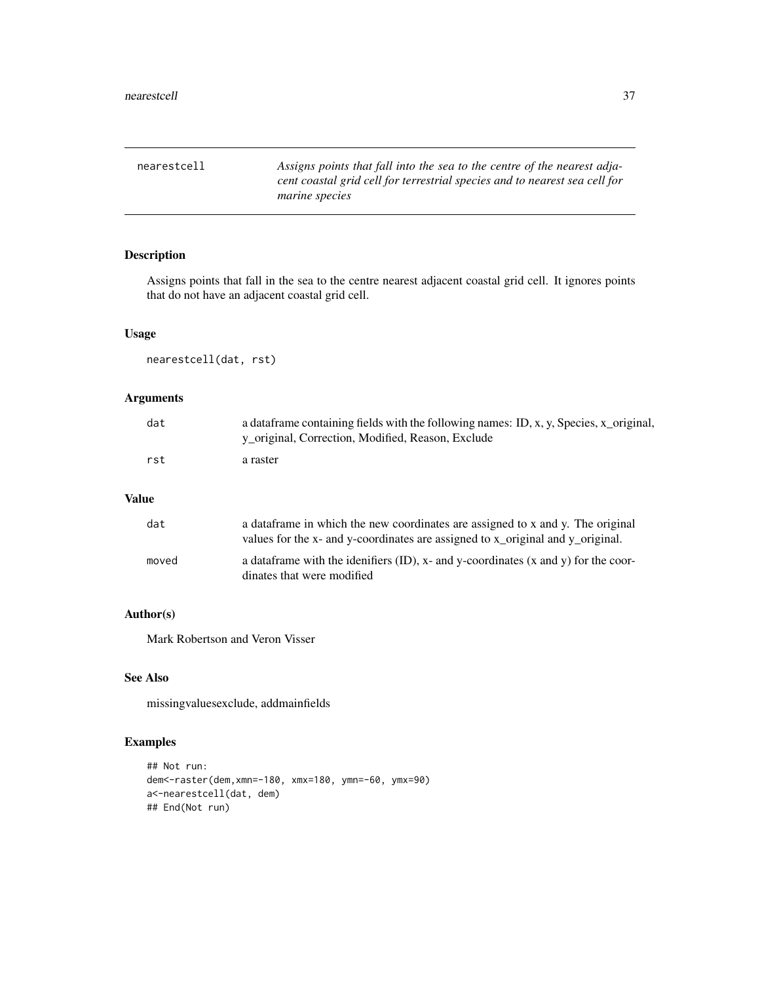<span id="page-36-0"></span>nearestcell *Assigns points that fall into the sea to the centre of the nearest adjacent coastal grid cell for terrestrial species and to nearest sea cell for marine species*

# Description

Assigns points that fall in the sea to the centre nearest adjacent coastal grid cell. It ignores points that do not have an adjacent coastal grid cell.

# Usage

nearestcell(dat, rst)

# Arguments

| dat | a data frame containing fields with the following names: ID, x, y, Species, x_original,<br>y_original, Correction, Modified, Reason, Exclude |
|-----|----------------------------------------------------------------------------------------------------------------------------------------------|
| rst | a raster                                                                                                                                     |

#### Value

| dat   | a data frame in which the new coordinates are assigned to x and y. The original<br>values for the x- and y-coordinates are assigned to x_original and y_original. |
|-------|-------------------------------------------------------------------------------------------------------------------------------------------------------------------|
| moved | a data frame with the identifiers $(ID)$ , x- and y-coordinates $(x \text{ and } y)$ for the coor-<br>dinates that were modified                                  |

# Author(s)

Mark Robertson and Veron Visser

#### See Also

missingvaluesexclude, addmainfields

```
## Not run:
dem<-raster(dem,xmn=-180, xmx=180, ymn=-60, ymx=90)
a<-nearestcell(dat, dem)
## End(Not run)
```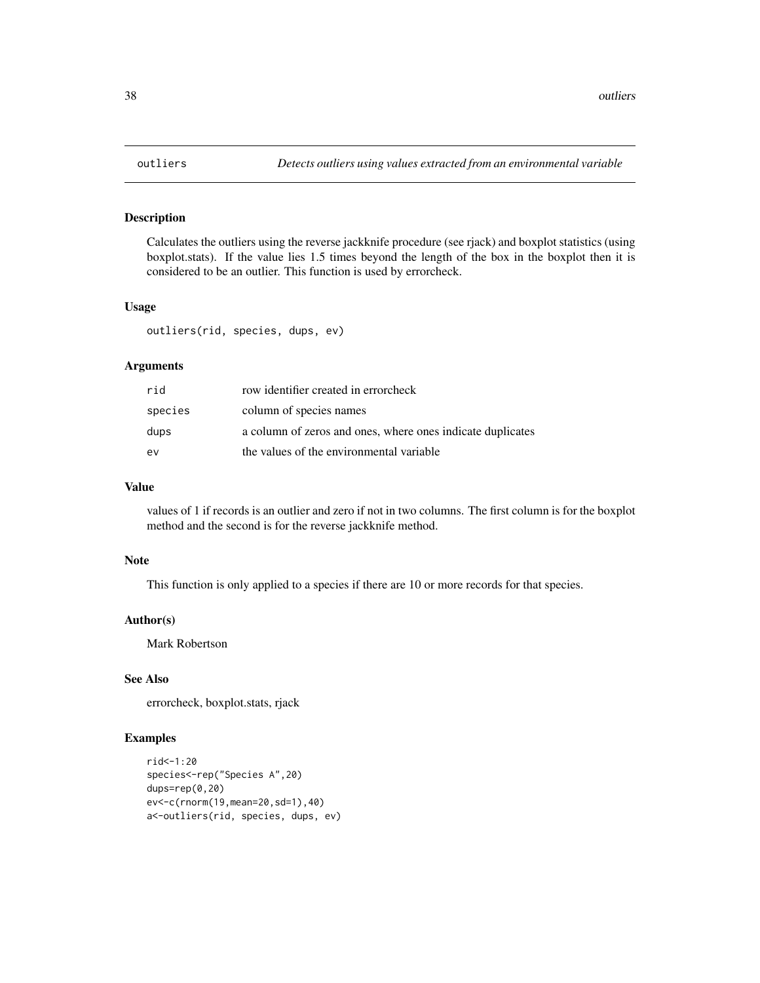Calculates the outliers using the reverse jackknife procedure (see rjack) and boxplot statistics (using boxplot.stats). If the value lies 1.5 times beyond the length of the box in the boxplot then it is considered to be an outlier. This function is used by errorcheck.

#### Usage

outliers(rid, species, dups, ev)

#### Arguments

| rid     | row identifier created in errorcheck                       |
|---------|------------------------------------------------------------|
| species | column of species names                                    |
| dups    | a column of zeros and ones, where ones indicate duplicates |
| ev      | the values of the environmental variable                   |

# Value

values of 1 if records is an outlier and zero if not in two columns. The first column is for the boxplot method and the second is for the reverse jackknife method.

#### Note

This function is only applied to a species if there are 10 or more records for that species.

#### Author(s)

Mark Robertson

#### See Also

errorcheck, boxplot.stats, rjack

```
rid<-1:20
species<-rep("Species A",20)
dups=rep(0,20)
ev<-c(rnorm(19,mean=20,sd=1),40)
a<-outliers(rid, species, dups, ev)
```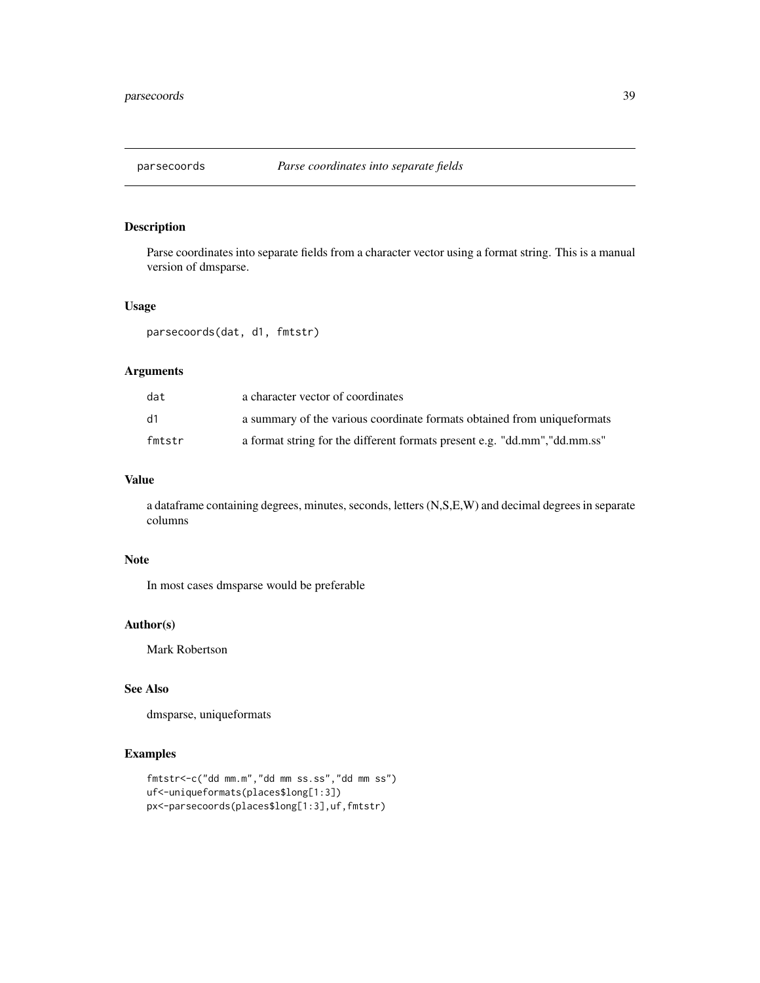<span id="page-38-0"></span>

Parse coordinates into separate fields from a character vector using a format string. This is a manual version of dmsparse.

#### Usage

parsecoords(dat, d1, fmtstr)

#### Arguments

| dat    | a character vector of coordinates                                          |
|--------|----------------------------------------------------------------------------|
| d1     | a summary of the various coordinate formats obtained from unique formats   |
| fmtstr | a format string for the different formats present e.g. "dd.mm", "dd.mm.ss" |

# Value

a dataframe containing degrees, minutes, seconds, letters (N,S,E,W) and decimal degrees in separate columns

# Note

In most cases dmsparse would be preferable

#### Author(s)

Mark Robertson

# See Also

dmsparse, uniqueformats

```
fmtstr<-c("dd mm.m","dd mm ss.ss","dd mm ss")
uf<-uniqueformats(places$long[1:3])
px<-parsecoords(places$long[1:3],uf,fmtstr)
```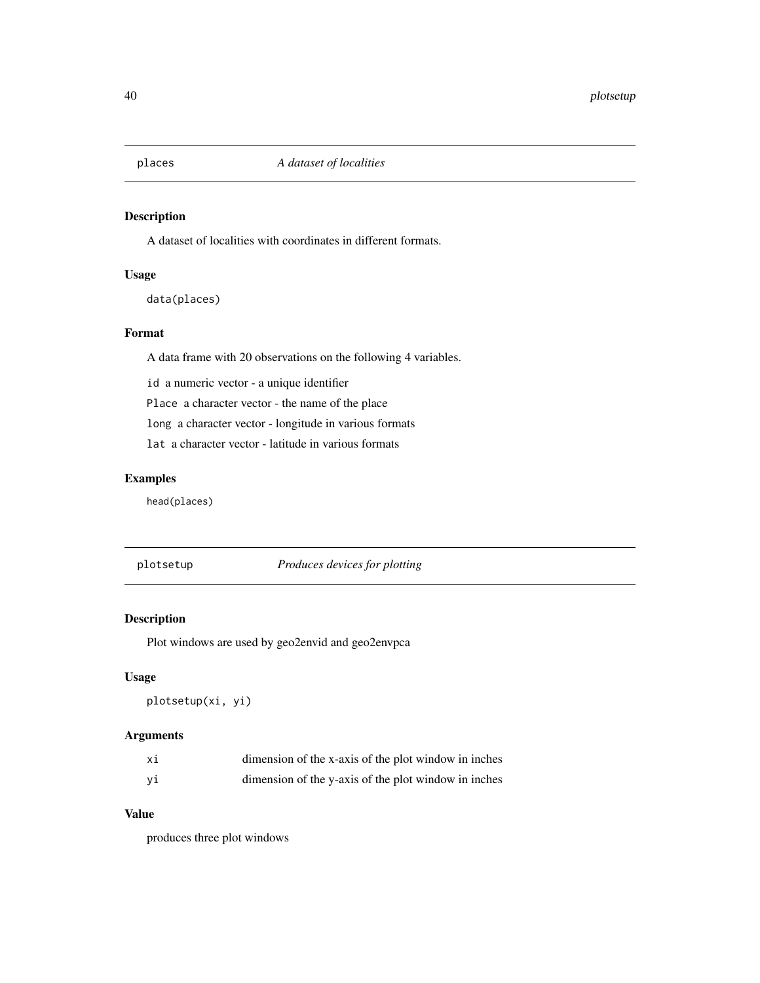<span id="page-39-0"></span>

A dataset of localities with coordinates in different formats.

#### Usage

data(places)

# Format

A data frame with 20 observations on the following 4 variables.

id a numeric vector - a unique identifier

Place a character vector - the name of the place

long a character vector - longitude in various formats

lat a character vector - latitude in various formats

# Examples

head(places)

plotsetup *Produces devices for plotting*

#### Description

Plot windows are used by geo2envid and geo2envpca

#### Usage

```
plotsetup(xi, yi)
```
# Arguments

| хi | dimension of the x-axis of the plot window in inches |  |
|----|------------------------------------------------------|--|
| уi | dimension of the y-axis of the plot window in inches |  |

# Value

produces three plot windows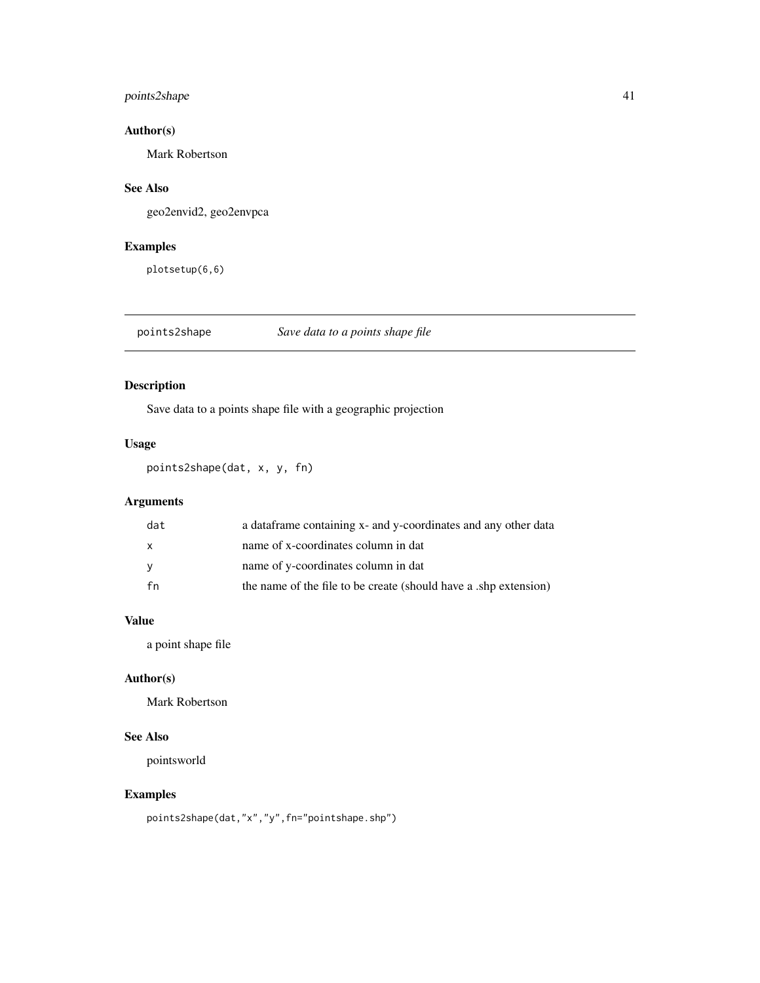# <span id="page-40-0"></span>points2shape 41

# Author(s)

Mark Robertson

# See Also

geo2envid2, geo2envpca

# Examples

plotsetup(6,6)

points2shape *Save data to a points shape file*

# Description

Save data to a points shape file with a geographic projection

# Usage

points2shape(dat, x, y, fn)

# Arguments

| dat          | a data frame containing x- and y-coordinates and any other data |
|--------------|-----------------------------------------------------------------|
| $\mathbf{x}$ | name of x-coordinates column in dat                             |
| <b>V</b>     | name of y-coordinates column in dat                             |
| fn           | the name of the file to be create (should have a shp extension) |

# Value

a point shape file

#### Author(s)

Mark Robertson

# See Also

pointsworld

# Examples

points2shape(dat,"x","y",fn="pointshape.shp")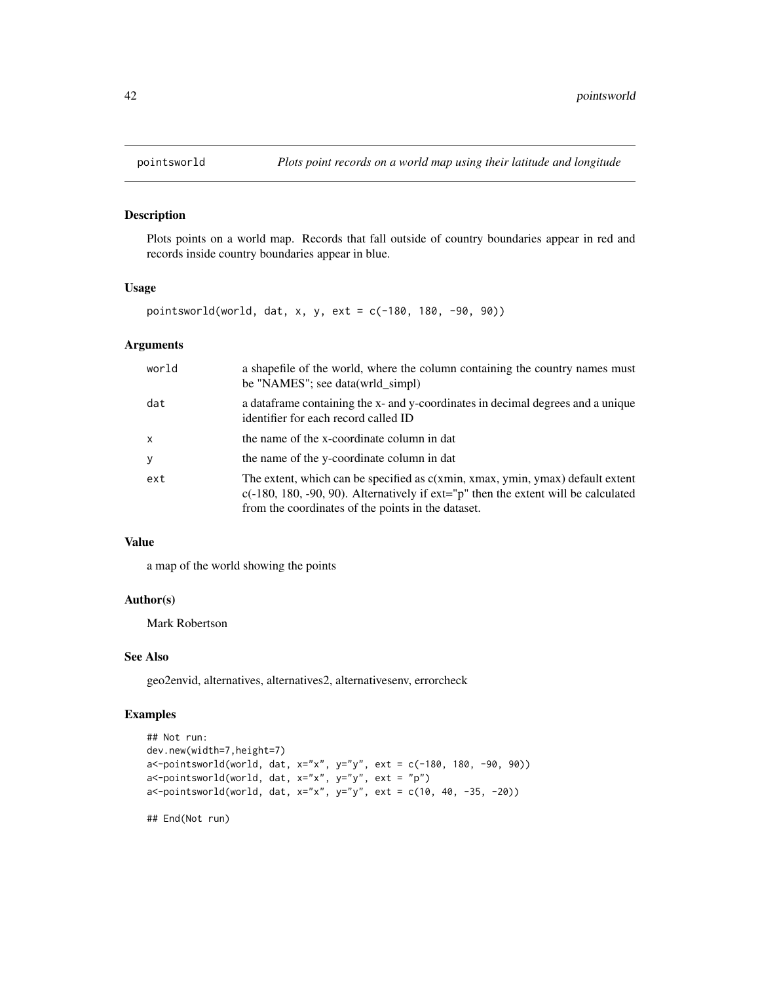Plots points on a world map. Records that fall outside of country boundaries appear in red and records inside country boundaries appear in blue.

#### Usage

pointsworld(world, dat, x, y, ext = c(-180, 180, -90, 90))

# Arguments

| world        | a shapefile of the world, where the column containing the country names must<br>be "NAMES"; see data(wrld_simpl)                                                                                                                |
|--------------|---------------------------------------------------------------------------------------------------------------------------------------------------------------------------------------------------------------------------------|
| dat          | a data frame containing the x- and y-coordinates in decimal degrees and a unique<br>identifier for each record called ID                                                                                                        |
| $\mathsf{x}$ | the name of the x-coordinate column in dat                                                                                                                                                                                      |
| y            | the name of the y-coordinate column in dat                                                                                                                                                                                      |
| ext          | The extent, which can be specified as c(xmin, xmax, ymin, ymax) default extent<br>$c(-180, 180, -90, 90)$ . Alternatively if $ext="p"$ then the extent will be calculated<br>from the coordinates of the points in the dataset. |

#### Value

a map of the world showing the points

#### Author(s)

Mark Robertson

#### See Also

geo2envid, alternatives, alternatives2, alternativesenv, errorcheck

#### Examples

```
## Not run:
dev.new(width=7,height=7)
a<-pointsworld(world, dat, x="x", y="y", ext = c(-180, 180, -90, 90))
a<-pointsworld(world, dat, x="x", y="y", ext = "p")
a<-pointsworld(world, dat, x="x", y="y", ext = c(10, 40, -35, -20))
```
## End(Not run)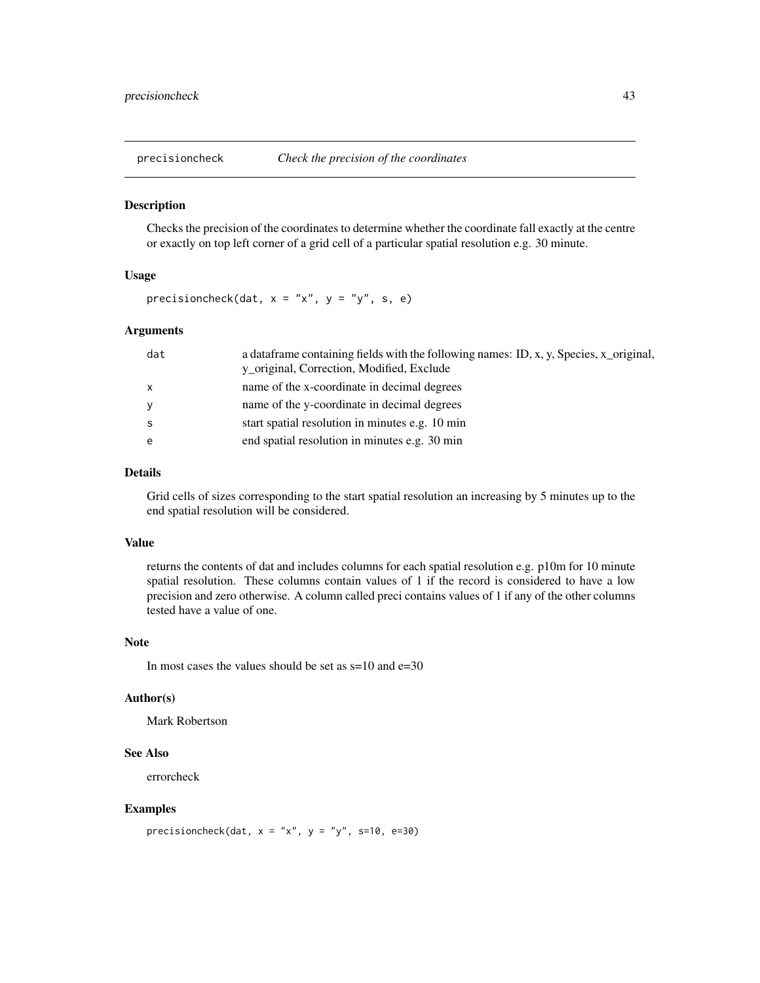<span id="page-42-0"></span>

Checks the precision of the coordinates to determine whether the coordinate fall exactly at the centre or exactly on top left corner of a grid cell of a particular spatial resolution e.g. 30 minute.

#### Usage

precisioncheck(dat,  $x = "x", y = "y", s, e)$ 

#### Arguments

| dat          | a dataframe containing fields with the following names: ID, x, y, Species, x_original, |
|--------------|----------------------------------------------------------------------------------------|
|              | y_original, Correction, Modified, Exclude                                              |
| $\mathbf{x}$ | name of the x-coordinate in decimal degrees                                            |
| y            | name of the y-coordinate in decimal degrees                                            |
|              | start spatial resolution in minutes e.g. 10 min                                        |
| e            | end spatial resolution in minutes e.g. 30 min                                          |
|              |                                                                                        |

#### Details

Grid cells of sizes corresponding to the start spatial resolution an increasing by 5 minutes up to the end spatial resolution will be considered.

#### Value

returns the contents of dat and includes columns for each spatial resolution e.g. p10m for 10 minute spatial resolution. These columns contain values of 1 if the record is considered to have a low precision and zero otherwise. A column called preci contains values of 1 if any of the other columns tested have a value of one.

#### Note

In most cases the values should be set as s=10 and e=30

#### Author(s)

Mark Robertson

#### See Also

errorcheck

#### Examples

precisioncheck(dat,  $x = "x", y = "y", s=10, e=30)$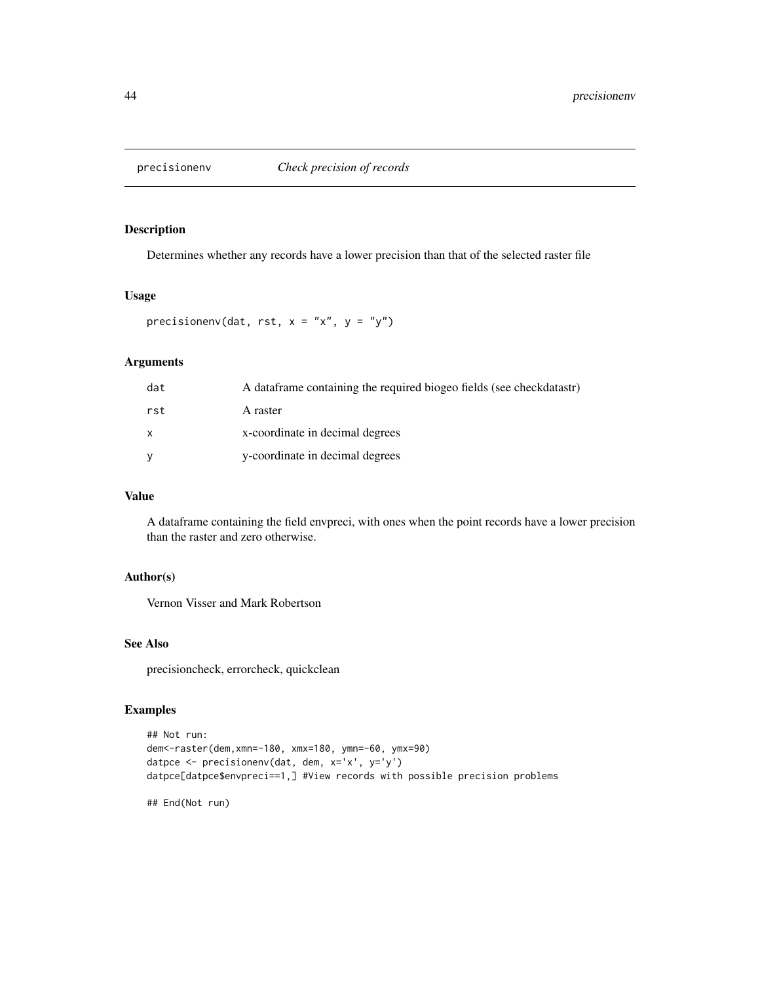<span id="page-43-0"></span>

Determines whether any records have a lower precision than that of the selected raster file

#### Usage

precisionenv(dat, rst,  $x = "x", y = "y")$ 

# Arguments

| dat | A data frame containing the required biogeo fields (see checkdatastr) |
|-----|-----------------------------------------------------------------------|
| rst | A raster                                                              |
|     | x-coordinate in decimal degrees                                       |
|     | y-coordinate in decimal degrees                                       |

# Value

A dataframe containing the field envpreci, with ones when the point records have a lower precision than the raster and zero otherwise.

#### Author(s)

Vernon Visser and Mark Robertson

#### See Also

precisioncheck, errorcheck, quickclean

# Examples

```
## Not run:
dem<-raster(dem,xmn=-180, xmx=180, ymn=-60, ymx=90)
datpce <- precisionenv(dat, dem, x='x', y='y')
datpce[datpce$envpreci==1,] #View records with possible precision problems
```
## End(Not run)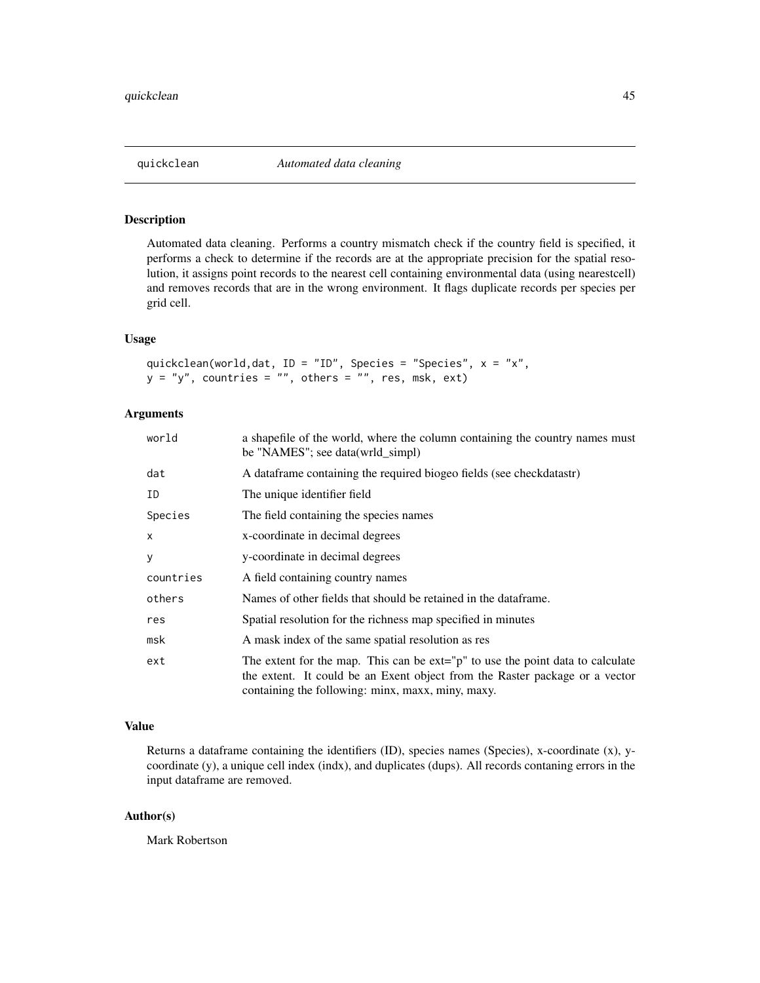<span id="page-44-0"></span>

Automated data cleaning. Performs a country mismatch check if the country field is specified, it performs a check to determine if the records are at the appropriate precision for the spatial resolution, it assigns point records to the nearest cell containing environmental data (using nearestcell) and removes records that are in the wrong environment. It flags duplicate records per species per grid cell.

# Usage

```
quickclean(world,dat, ID = "ID", Species = "Species", x = "x",
y = "y", countries = "", others = "", res, msk, ext)
```
# Arguments

| world        | a shapefile of the world, where the column containing the country names must<br>be "NAMES"; see data(wrld_simpl)                                                                                                       |
|--------------|------------------------------------------------------------------------------------------------------------------------------------------------------------------------------------------------------------------------|
| dat          | A data frame containing the required biogeo fields (see check datastr)                                                                                                                                                 |
| ID           | The unique identifier field                                                                                                                                                                                            |
| Species      | The field containing the species names                                                                                                                                                                                 |
| $\mathsf{x}$ | x-coordinate in decimal degrees                                                                                                                                                                                        |
| y            | y-coordinate in decimal degrees                                                                                                                                                                                        |
| countries    | A field containing country names                                                                                                                                                                                       |
| others       | Names of other fields that should be retained in the dataframe.                                                                                                                                                        |
| res          | Spatial resolution for the richness map specified in minutes                                                                                                                                                           |
| msk          | A mask index of the same spatial resolution as res                                                                                                                                                                     |
| ext          | The extent for the map. This can be $ext{=''p}$ to use the point data to calculate<br>the extent. It could be an Exent object from the Raster package or a vector<br>containing the following: minx, maxx, miny, maxy. |

#### Value

Returns a dataframe containing the identifiers (ID), species names (Species), x-coordinate (x), ycoordinate (y), a unique cell index (indx), and duplicates (dups). All records contaning errors in the input dataframe are removed.

#### Author(s)

Mark Robertson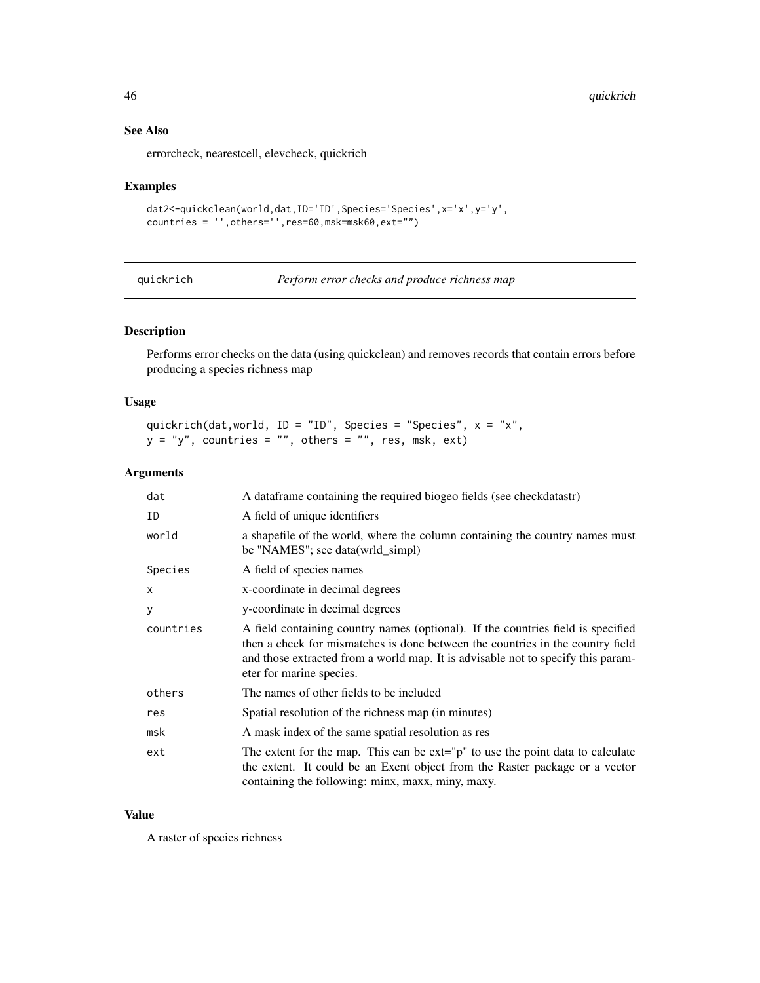# See Also

errorcheck, nearestcell, elevcheck, quickrich

#### Examples

```
dat2<-quickclean(world,dat,ID='ID',Species='Species',x='x',y='y',
countries = '',others='',res=60,msk=msk60,ext="")
```
quickrich *Perform error checks and produce richness map*

# Description

Performs error checks on the data (using quickclean) and removes records that contain errors before producing a species richness map

#### Usage

```
quickrich(dat,world, ID = "ID", Species = "Species", x = "x",
y = "y", countries = "", others = "", res, msk, ext)
```
# Arguments

| dat          | A data frame containing the required biogeo fields (see check datastr)                                                                                                                                                                                                             |
|--------------|------------------------------------------------------------------------------------------------------------------------------------------------------------------------------------------------------------------------------------------------------------------------------------|
| ID           | A field of unique identifiers                                                                                                                                                                                                                                                      |
| world        | a shapefile of the world, where the column containing the country names must<br>be "NAMES"; see data(wrld_simpl)                                                                                                                                                                   |
| Species      | A field of species names                                                                                                                                                                                                                                                           |
| $\mathsf{x}$ | x-coordinate in decimal degrees                                                                                                                                                                                                                                                    |
| y            | y-coordinate in decimal degrees                                                                                                                                                                                                                                                    |
| countries    | A field containing country names (optional). If the countries field is specified<br>then a check for mismatches is done between the countries in the country field<br>and those extracted from a world map. It is advisable not to specify this param-<br>eter for marine species. |
| others       | The names of other fields to be included                                                                                                                                                                                                                                           |
| res          | Spatial resolution of the richness map (in minutes)                                                                                                                                                                                                                                |
| msk          | A mask index of the same spatial resolution as res                                                                                                                                                                                                                                 |
| ext          | The extent for the map. This can be $ext{ext} = p''$ to use the point data to calculate<br>the extent. It could be an Exent object from the Raster package or a vector<br>containing the following: minx, maxx, miny, maxy.                                                        |

# Value

A raster of species richness

<span id="page-45-0"></span>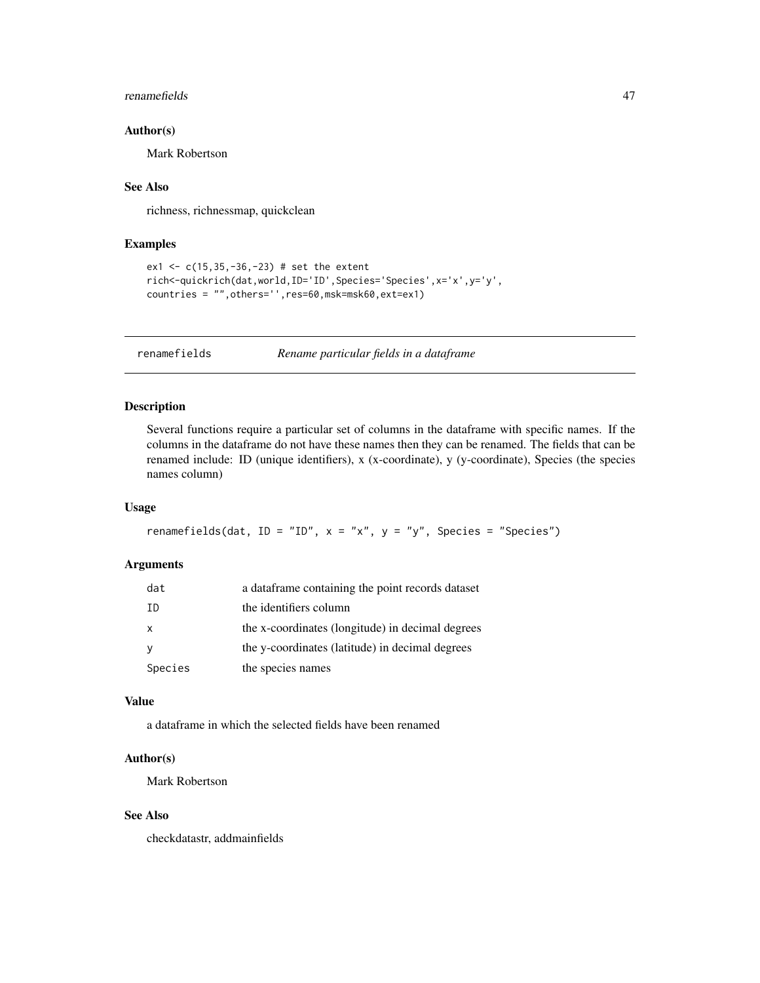#### <span id="page-46-0"></span>renamefields 47

#### Author(s)

Mark Robertson

# See Also

richness, richnessmap, quickclean

#### Examples

```
ex1 <- c(15,35,-36,-23) # set the extent
rich<-quickrich(dat,world,ID='ID',Species='Species',x='x',y='y',
countries = "",others='',res=60,msk=msk60,ext=ex1)
```
renamefields *Rename particular fields in a dataframe*

# Description

Several functions require a particular set of columns in the dataframe with specific names. If the columns in the dataframe do not have these names then they can be renamed. The fields that can be renamed include: ID (unique identifiers), x (x-coordinate), y (y-coordinate), Species (the species names column)

#### Usage

```
renamefields(dat, ID = "ID", x = "x", y = "y", Species = "Species")
```
#### Arguments

| dat          | a dataframe containing the point records dataset |
|--------------|--------------------------------------------------|
| -TD          | the identifiers column                           |
| $\mathsf{x}$ | the x-coordinates (longitude) in decimal degrees |
| <sub>V</sub> | the y-coordinates (latitude) in decimal degrees  |
| Species      | the species names                                |

#### Value

a dataframe in which the selected fields have been renamed

#### Author(s)

Mark Robertson

#### See Also

checkdatastr, addmainfields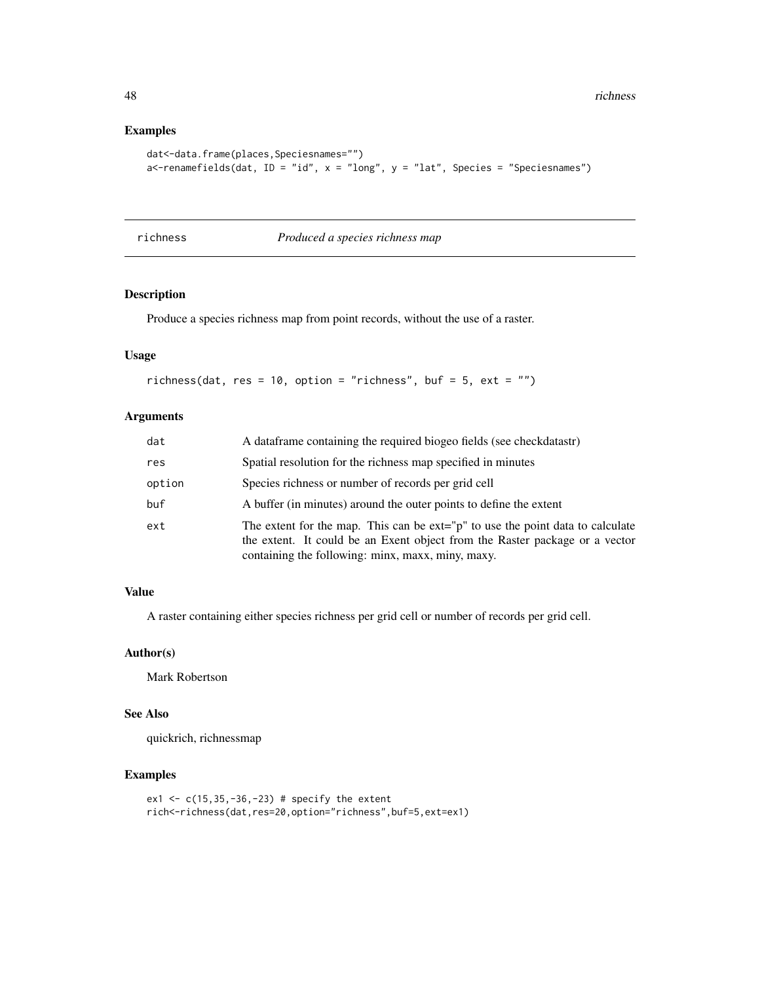# Examples

```
dat<-data.frame(places,Speciesnames="")
a<-renamefields(dat, ID = "id", x = "long", y = "lat", Species = "Speciesnames")
```
richness *Produced a species richness map*

# Description

Produce a species richness map from point records, without the use of a raster.

# Usage

richness(dat, res = 10, option = "richness", buf = 5, ext = "")

#### Arguments

| dat    | A data frame containing the required biogeo fields (see check datastr)                                                                                                                                                 |
|--------|------------------------------------------------------------------------------------------------------------------------------------------------------------------------------------------------------------------------|
| res    | Spatial resolution for the richness map specified in minutes                                                                                                                                                           |
| option | Species richness or number of records per grid cell                                                                                                                                                                    |
| buf    | A buffer (in minutes) around the outer points to define the extent                                                                                                                                                     |
| ext    | The extent for the map. This can be $ext{=''p}$ to use the point data to calculate<br>the extent. It could be an Exent object from the Raster package or a vector<br>containing the following: minx, maxx, miny, maxy. |

#### Value

A raster containing either species richness per grid cell or number of records per grid cell.

#### Author(s)

Mark Robertson

# See Also

quickrich, richnessmap

```
ex1 <- c(15, 35, -36, -23) # specify the extent
rich<-richness(dat,res=20,option="richness",buf=5,ext=ex1)
```
<span id="page-47-0"></span>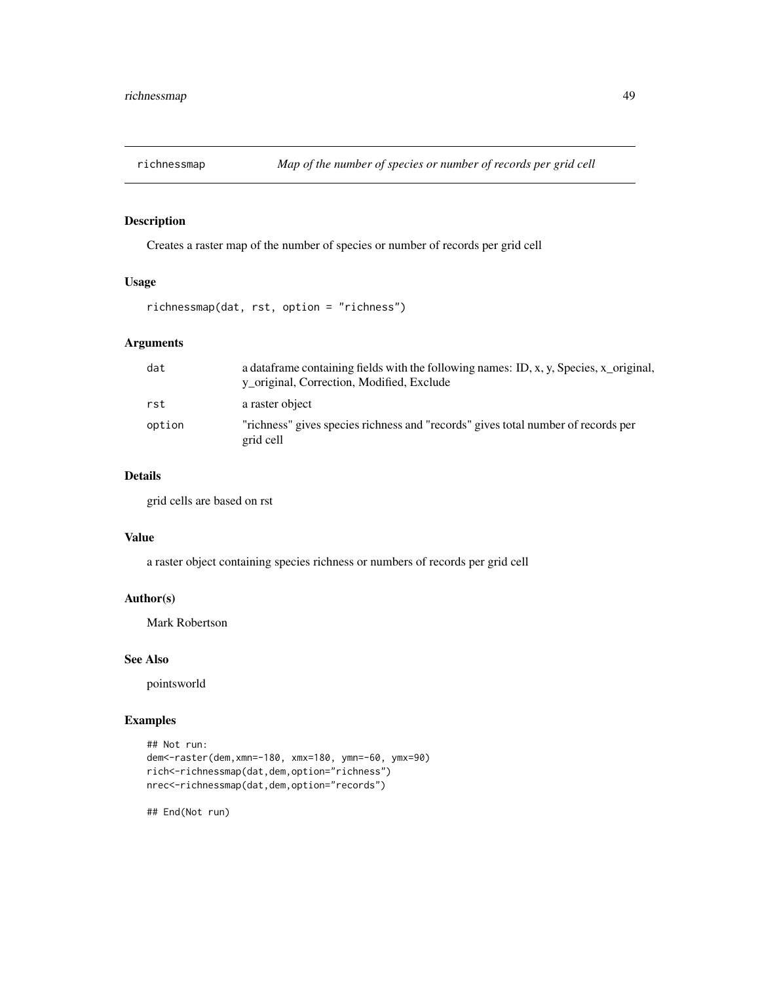<span id="page-48-0"></span>

Creates a raster map of the number of species or number of records per grid cell

# Usage

richnessmap(dat, rst, option = "richness")

# Arguments

| dat    | a data frame containing fields with the following names: ID, x, y, Species, x_original,<br>y_original, Correction, Modified, Exclude |
|--------|--------------------------------------------------------------------------------------------------------------------------------------|
| rst    | a raster object                                                                                                                      |
| option | "richness" gives species richness and "records" gives total number of records per<br>grid cell                                       |

# Details

grid cells are based on rst

#### Value

a raster object containing species richness or numbers of records per grid cell

#### Author(s)

Mark Robertson

#### See Also

pointsworld

# Examples

```
## Not run:
dem<-raster(dem,xmn=-180, xmx=180, ymn=-60, ymx=90)
rich<-richnessmap(dat,dem,option="richness")
nrec<-richnessmap(dat,dem,option="records")
```
## End(Not run)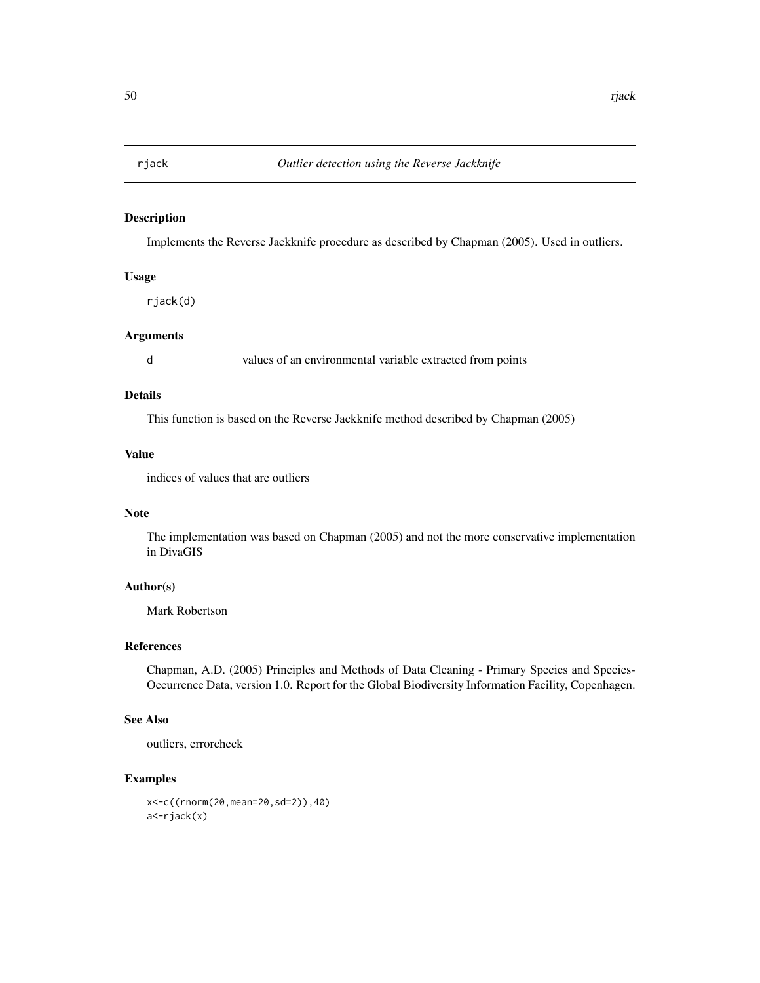<span id="page-49-0"></span>

Implements the Reverse Jackknife procedure as described by Chapman (2005). Used in outliers.

#### Usage

rjack(d)

#### Arguments

d values of an environmental variable extracted from points

# Details

This function is based on the Reverse Jackknife method described by Chapman (2005)

# Value

indices of values that are outliers

#### Note

The implementation was based on Chapman (2005) and not the more conservative implementation in DivaGIS

# Author(s)

Mark Robertson

#### References

Chapman, A.D. (2005) Principles and Methods of Data Cleaning - Primary Species and Species-Occurrence Data, version 1.0. Report for the Global Biodiversity Information Facility, Copenhagen.

#### See Also

outliers, errorcheck

```
x<-c((rnorm(20,mean=20,sd=2)),40)
a<-rjack(x)
```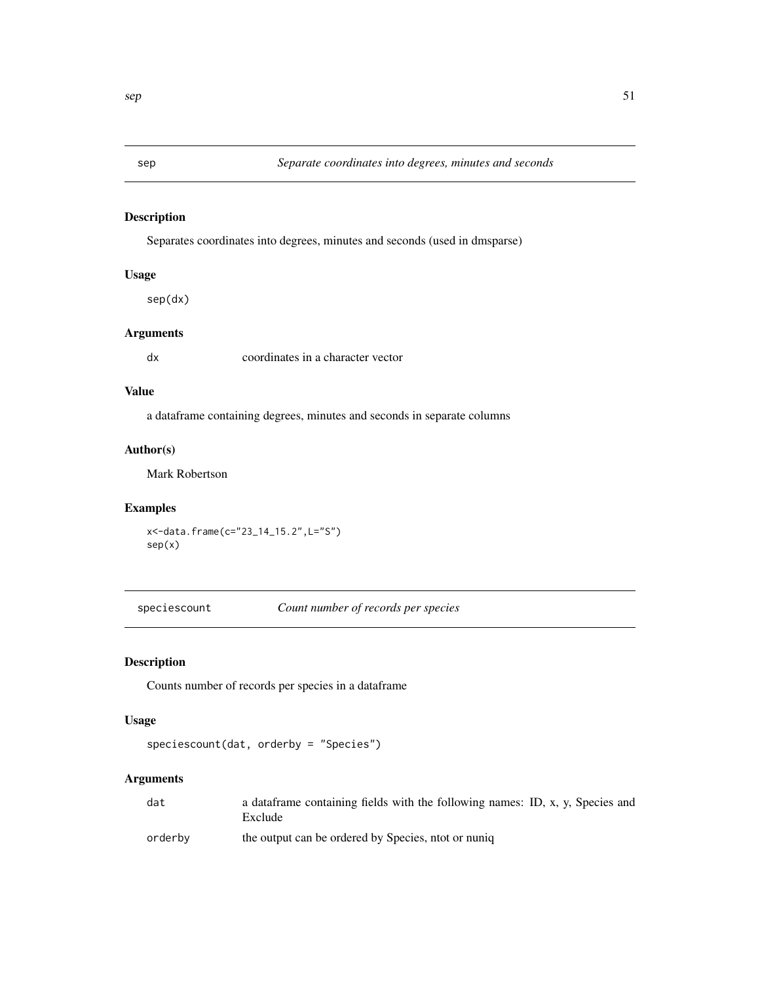<span id="page-50-0"></span>

Separates coordinates into degrees, minutes and seconds (used in dmsparse)

# Usage

sep(dx)

# Arguments

dx coordinates in a character vector

# Value

a dataframe containing degrees, minutes and seconds in separate columns

# Author(s)

Mark Robertson

#### Examples

```
x<-data.frame(c="23_14_15.2",L="S")
sep(x)
```
speciescount *Count number of records per species*

# Description

Counts number of records per species in a dataframe

# Usage

```
speciescount(dat, orderby = "Species")
```
# Arguments

| dat     | a dataframe containing fields with the following names: ID, x, y, Species and<br>Exclude |
|---------|------------------------------------------------------------------------------------------|
| orderby | the output can be ordered by Species, ntot or nuniq                                      |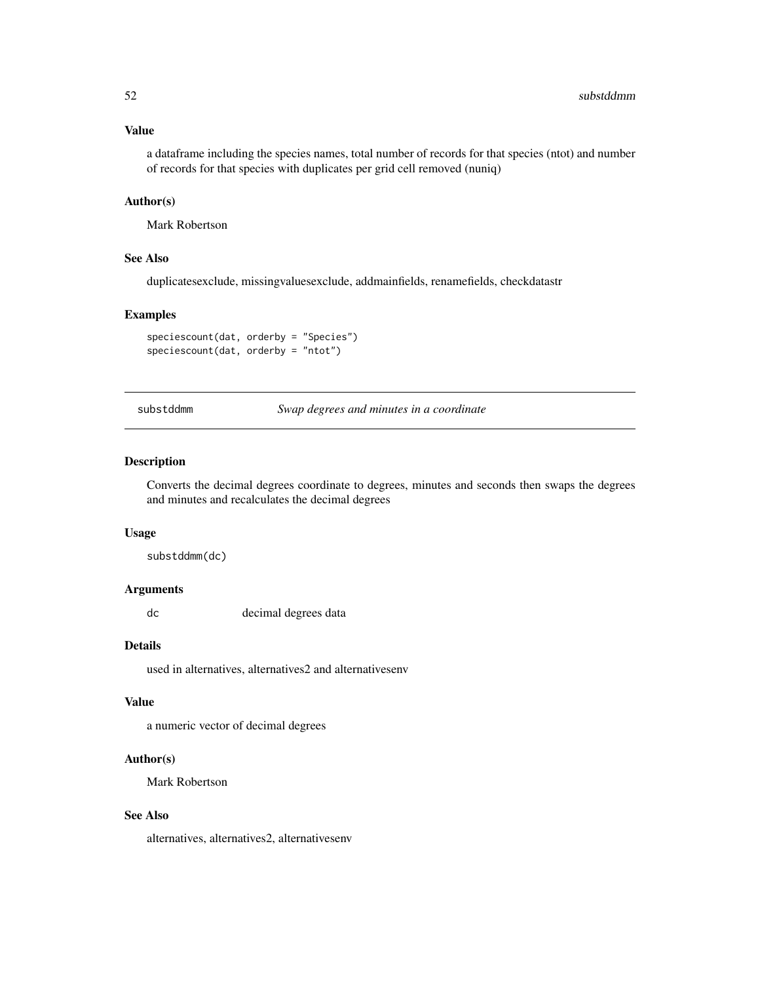#### <span id="page-51-0"></span>Value

a dataframe including the species names, total number of records for that species (ntot) and number of records for that species with duplicates per grid cell removed (nuniq)

#### Author(s)

Mark Robertson

# See Also

duplicatesexclude, missingvaluesexclude, addmainfields, renamefields, checkdatastr

# Examples

speciescount(dat, orderby = "Species") speciescount(dat, orderby = "ntot")

substddmm *Swap degrees and minutes in a coordinate*

#### Description

Converts the decimal degrees coordinate to degrees, minutes and seconds then swaps the degrees and minutes and recalculates the decimal degrees

#### Usage

substddmm(dc)

#### Arguments

dc decimal degrees data

#### Details

used in alternatives, alternatives2 and alternativesenv

# Value

a numeric vector of decimal degrees

#### Author(s)

Mark Robertson

#### See Also

alternatives, alternatives2, alternativesenv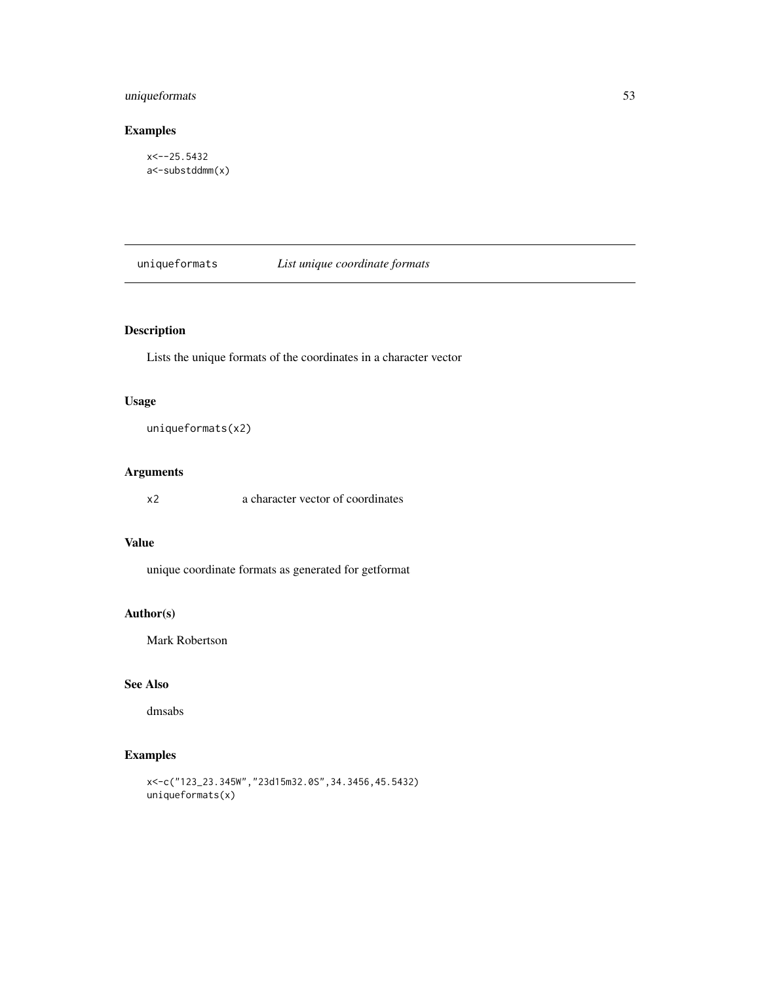# <span id="page-52-0"></span>uniqueformats 53

# Examples

x<--25.5432 a<-substddmm(x)

uniqueformats *List unique coordinate formats*

# Description

Lists the unique formats of the coordinates in a character vector

# Usage

uniqueformats(x2)

# Arguments

x2 a character vector of coordinates

#### Value

unique coordinate formats as generated for getformat

# Author(s)

Mark Robertson

#### See Also

dmsabs

```
x<-c("123_23.345W","23d15m32.0S",34.3456,45.5432)
uniqueformats(x)
```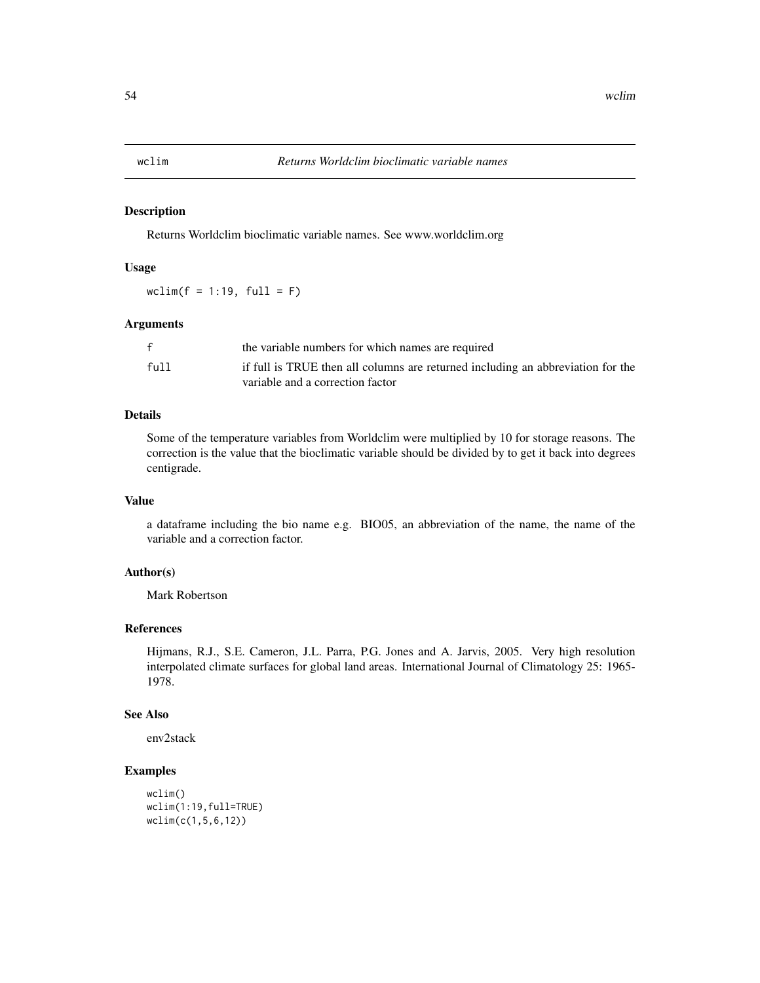<span id="page-53-0"></span>

Returns Worldclim bioclimatic variable names. See www.worldclim.org

#### Usage

wclim( $f = 1:19$ , full = F)

#### Arguments

|      | the variable numbers for which names are required                               |
|------|---------------------------------------------------------------------------------|
| full | if full is TRUE then all columns are returned including an abbreviation for the |
|      | variable and a correction factor                                                |

#### Details

Some of the temperature variables from Worldclim were multiplied by 10 for storage reasons. The correction is the value that the bioclimatic variable should be divided by to get it back into degrees centigrade.

#### Value

a dataframe including the bio name e.g. BIO05, an abbreviation of the name, the name of the variable and a correction factor.

#### Author(s)

Mark Robertson

# References

Hijmans, R.J., S.E. Cameron, J.L. Parra, P.G. Jones and A. Jarvis, 2005. Very high resolution interpolated climate surfaces for global land areas. International Journal of Climatology 25: 1965- 1978.

#### See Also

env2stack

```
wclim()
wclim(1:19,full=TRUE)
wclim(c(1,5,6,12))
```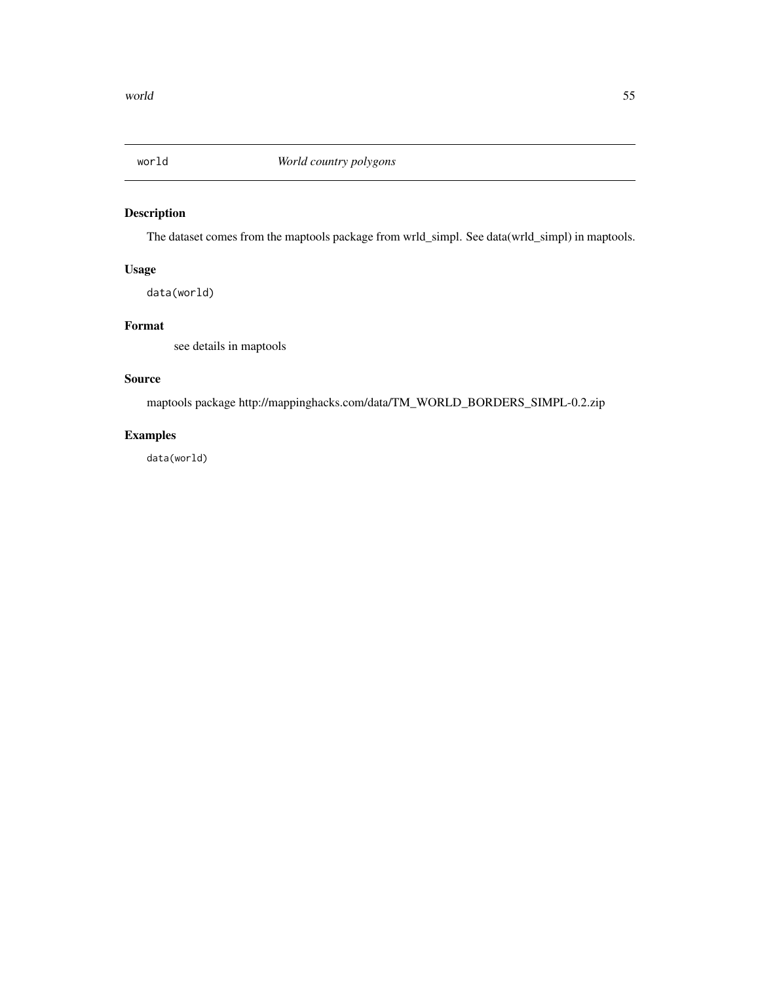<span id="page-54-0"></span>

The dataset comes from the maptools package from wrld\_simpl. See data(wrld\_simpl) in maptools.

# Usage

data(world)

# Format

see details in maptools

#### Source

maptools package http://mappinghacks.com/data/TM\_WORLD\_BORDERS\_SIMPL-0.2.zip

# Examples

data(world)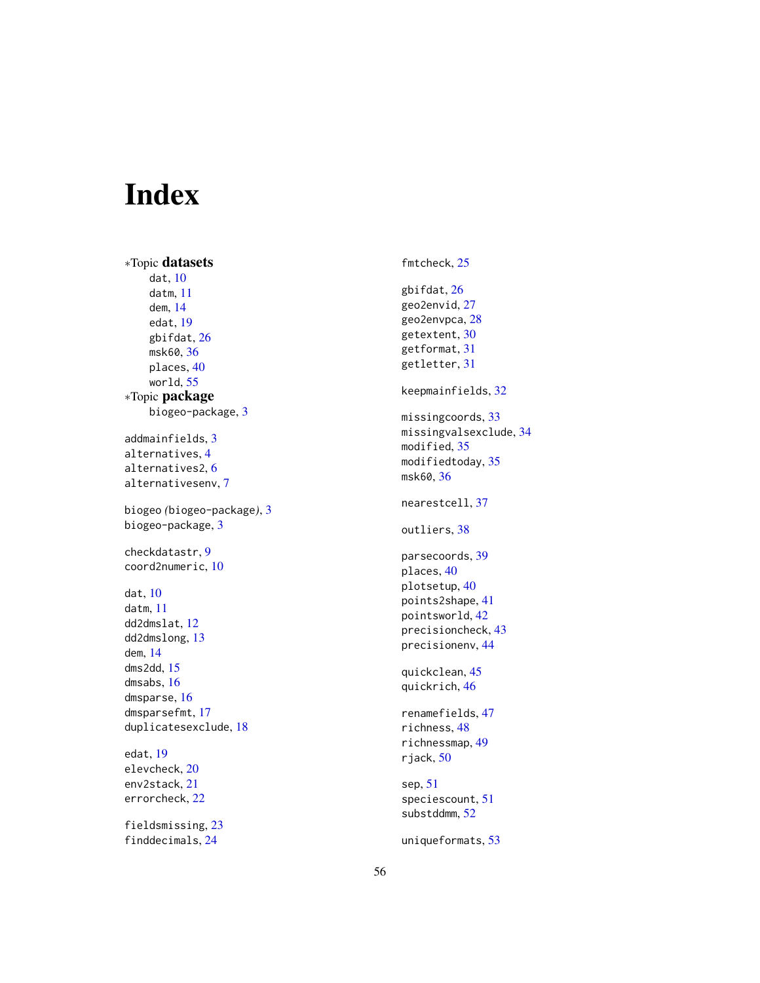# <span id="page-55-0"></span>Index

∗Topic datasets dat , [10](#page-9-0) datm , [11](#page-10-0) dem , [14](#page-13-0) edat , [19](#page-18-0) gbifdat , [26](#page-25-0) msk60 , [36](#page-35-0) places , [40](#page-39-0) world , [55](#page-54-0) ∗Topic package biogeo-package , [3](#page-2-0) addmainfields , [3](#page-2-0) alternatives , [4](#page-3-0) alternatives2 , [6](#page-5-0) alternativesenv , [7](#page-6-0) biogeo *(*biogeo-package *)* , [3](#page-2-0) biogeo-package , [3](#page-2-0) checkdatastr , [9](#page-8-0) coord2numeric , [10](#page-9-0) dat , [10](#page-9-0) datm , [11](#page-10-0) dd2dmslat , [12](#page-11-0) dd2dmslong , [13](#page-12-0) dem , [14](#page-13-0) dms2dd , [15](#page-14-0) dmsabs , [16](#page-15-0) dmsparse , [16](#page-15-0) dmsparsefmt , [17](#page-16-0) duplicatesexclude , [18](#page-17-0) edat , [19](#page-18-0) elevcheck , [20](#page-19-0) env2stack , [21](#page-20-0) errorcheck , [22](#page-21-0) fieldsmissing , [23](#page-22-0)

finddecimals , [24](#page-23-0)

fmtcheck , [25](#page-24-0) gbifdat , [26](#page-25-0) geo2envid , [27](#page-26-0) geo2envpca , [28](#page-27-0) getextent , [30](#page-29-0) getformat , [31](#page-30-0) getletter , [31](#page-30-0) keepmainfields , [32](#page-31-0) missingcoords, [33](#page-32-0) missingvalsexclude , [34](#page-33-0) modified, [35](#page-34-0) modifiedtoday , [35](#page-34-0) msk60 , [36](#page-35-0) nearestcell , [37](#page-36-0) outliers , [38](#page-37-0) parsecoords , [39](#page-38-0) places, [40](#page-39-0) plotsetup , [40](#page-39-0) points2shape , [41](#page-40-0) pointsworld , [42](#page-41-0) precisioncheck , [43](#page-42-0) precisionenv , [44](#page-43-0) quickclean , [45](#page-44-0) quickrich , [46](#page-45-0) renamefields , [47](#page-46-0) richness , [48](#page-47-0) richnessmap , [49](#page-48-0) rjack , [50](#page-49-0) sep , [51](#page-50-0) speciescount , [51](#page-50-0) substddmm , [52](#page-51-0)

uniqueformats , [53](#page-52-0)